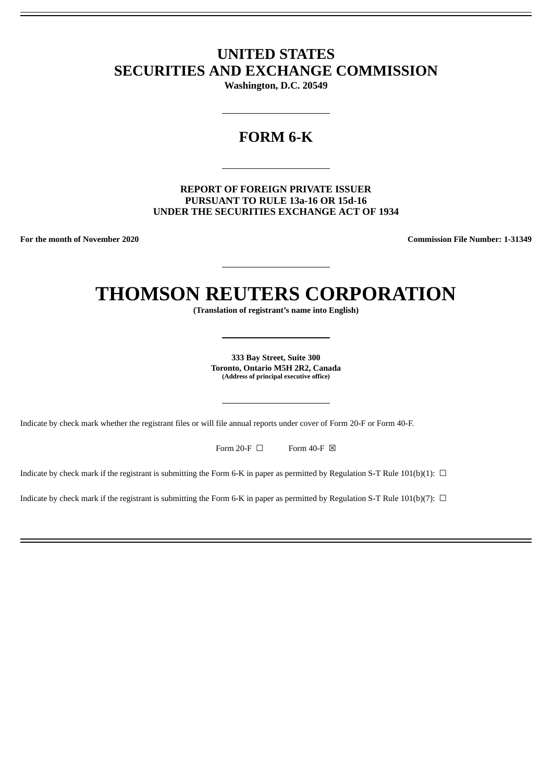# **UNITED STATES SECURITIES AND EXCHANGE COMMISSION**

**Washington, D.C. 20549**

# **FORM 6-K**

**REPORT OF FOREIGN PRIVATE ISSUER PURSUANT TO RULE 13a-16 OR 15d-16 UNDER THE SECURITIES EXCHANGE ACT OF 1934**

**For the month of November 2020 Commission File Number: 1-31349**

# **THOMSON REUTERS CORPORATION**

**(Translation of registrant's name into English)**

**333 Bay Street, Suite 300 Toronto, Ontario M5H 2R2, Canada (Address of principal executive office)**

Indicate by check mark whether the registrant files or will file annual reports under cover of Form 20-F or Form 40-F.

Form 20-F  $\Box$  Form 40-F  $\boxtimes$ 

Indicate by check mark if the registrant is submitting the Form 6-K in paper as permitted by Regulation S-T Rule 101(b)(1):  $\Box$ 

Indicate by check mark if the registrant is submitting the Form 6-K in paper as permitted by Regulation S-T Rule 101(b)(7):  $\Box$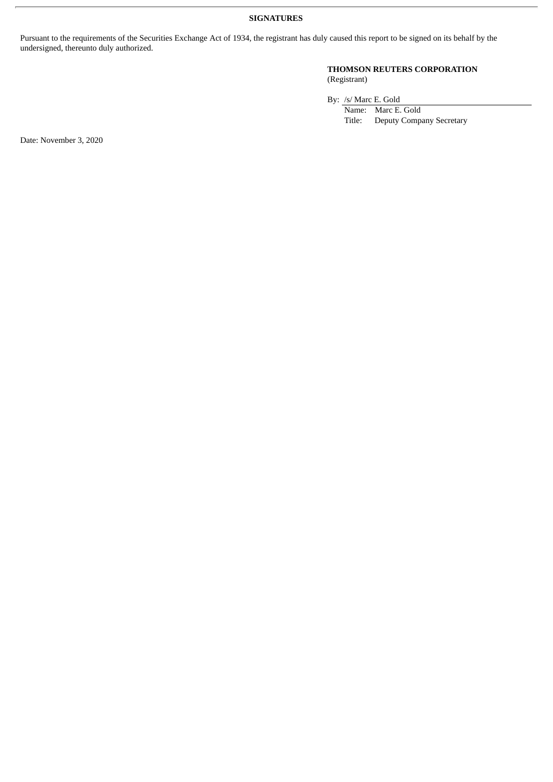### **SIGNATURES**

Pursuant to the requirements of the Securities Exchange Act of 1934, the registrant has duly caused this report to be signed on its behalf by the undersigned, thereunto duly authorized.

### **THOMSON REUTERS CORPORATION** (Registrant)

By: /s/ Marc E. Gold

Name: Marc E. Gold Title: Deputy Company Secretary

Date: November 3, 2020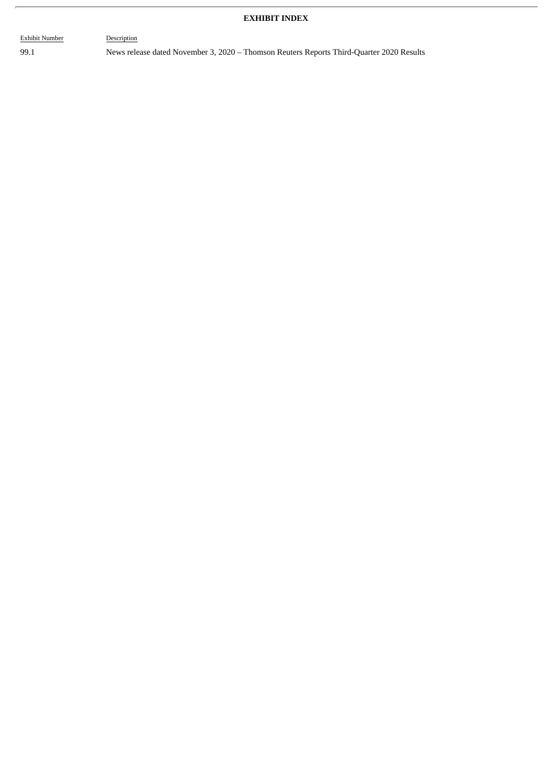# **EXHIBIT INDEX**

Exhibit Number Description

99.1 News release dated November 3, 2020 – Thomson Reuters Reports Third-Quarter 2020 Results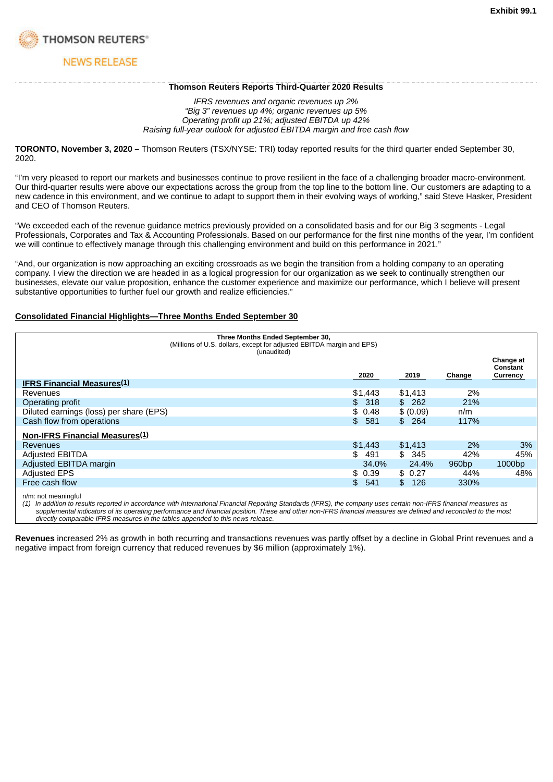

# **NEWS RELEASE**

### **Thomson Reuters Reports Third-Quarter 2020 Results**

*IFRS revenues and organic revenues up 2% "Big 3" revenues up 4%; organic revenues up 5% Operating profit up 21%; adjusted EBITDA up 42% Raising full-year outlook for adjusted EBITDA margin and free cash flow*

**TORONTO, November 3, 2020 –** Thomson Reuters (TSX/NYSE: TRI) today reported results for the third quarter ended September 30, 2020.

"I'm very pleased to report our markets and businesses continue to prove resilient in the face of a challenging broader macro-environment. Our third-quarter results were above our expectations across the group from the top line to the bottom line. Our customers are adapting to a new cadence in this environment, and we continue to adapt to support them in their evolving ways of working," said Steve Hasker, President and CEO of Thomson Reuters.

"We exceeded each of the revenue guidance metrics previously provided on a consolidated basis and for our Big 3 segments - Legal Professionals, Corporates and Tax & Accounting Professionals. Based on our performance for the first nine months of the year, I'm confident we will continue to effectively manage through this challenging environment and build on this performance in 2021."

"And, our organization is now approaching an exciting crossroads as we begin the transition from a holding company to an operating company. I view the direction we are headed in as a logical progression for our organization as we seek to continually strengthen our businesses, elevate our value proposition, enhance the customer experience and maximize our performance, which I believe will present substantive opportunities to further fuel our growth and realize efficiencies."

### **Consolidated Financial Highlights—Three Months Ended September 30**

|                                         | Three Months Ended September 30,<br>(Millions of U.S. dollars, except for adjusted EBITDA margin and EPS)<br>(unaudited) |           |                   |                                   |
|-----------------------------------------|--------------------------------------------------------------------------------------------------------------------------|-----------|-------------------|-----------------------------------|
|                                         | 2020                                                                                                                     | 2019      | Change            | Change at<br>Constant<br>Currency |
| <b>IFRS Financial Measures</b> (1)      |                                                                                                                          |           |                   |                                   |
| Revenues                                | \$1,443                                                                                                                  | \$1,413   | 2%                |                                   |
| Operating profit                        | 318<br>SS.                                                                                                               | \$262     | 21%               |                                   |
| Diluted earnings (loss) per share (EPS) | \$0.48                                                                                                                   | \$ (0.09) | n/m               |                                   |
| Cash flow from operations               | 581<br>\$                                                                                                                | \$264     | 117%              |                                   |
| <b>Non-IFRS Financial Measures(1)</b>   |                                                                                                                          |           |                   |                                   |
| Revenues                                | \$1.443                                                                                                                  | \$1,413   | 2%                | 3%                                |
| <b>Adjusted EBITDA</b>                  | \$<br>491                                                                                                                | \$345     | 42%               | 45%                               |
| Adjusted EBITDA margin                  | 34.0%                                                                                                                    | 24.4%     | 960 <sub>bp</sub> | 1000 <sub>bp</sub>                |
| <b>Adjusted EPS</b>                     | \$0.39                                                                                                                   | \$0.27    | 44%               | 48%                               |
| Free cash flow                          | 541<br>\$.                                                                                                               | 126<br>\$ | 330%              |                                   |
|                                         |                                                                                                                          |           |                   |                                   |

n/m: not meaningful

(1) In addition to results reported in accordance with International Financial Reporting Standards (IFRS), the company uses certain non-IFRS financial measures as supplemental indicators of its operating performance and financial position. These and other non-IFRS financial measures are defined and reconciled to the most *directly comparable IFRS measures in the tables appended to this news release.*

**Revenues** increased 2% as growth in both recurring and transactions revenues was partly offset by a decline in Global Print revenues and a negative impact from foreign currency that reduced revenues by \$6 million (approximately 1%).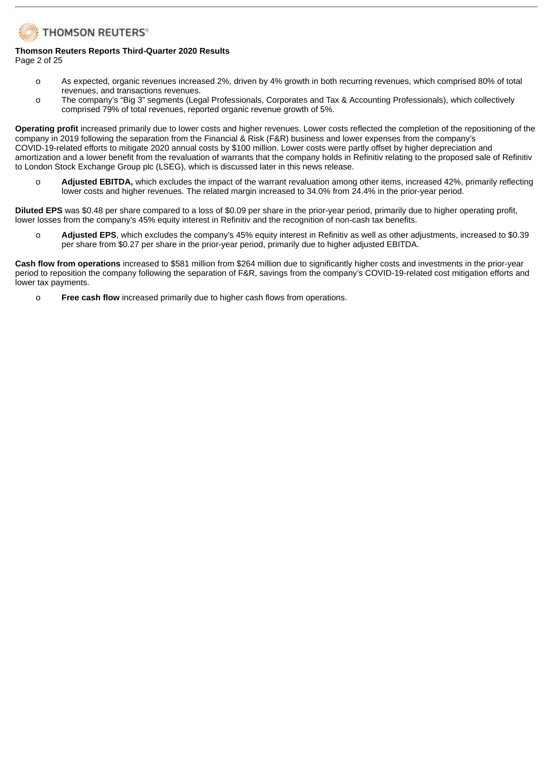# **THOMSON REUTERS®**

### **Thomson Reuters Reports Third-Quarter 2020 Results** Page 2 of 25

- o As expected, organic revenues increased 2%, driven by 4% growth in both recurring revenues, which comprised 80% of total revenues, and transactions revenues.
- o The company's "Big 3" segments (Legal Professionals, Corporates and Tax & Accounting Professionals), which collectively comprised 79% of total revenues, reported organic revenue growth of 5%.

**Operating profit** increased primarily due to lower costs and higher revenues. Lower costs reflected the completion of the repositioning of the company in 2019 following the separation from the Financial & Risk (F&R) business and lower expenses from the company's COVID-19-related efforts to mitigate 2020 annual costs by \$100 million. Lower costs were partly offset by higher depreciation and amortization and a lower benefit from the revaluation of warrants that the company holds in Refinitiv relating to the proposed sale of Refinitiv to London Stock Exchange Group plc (LSEG), which is discussed later in this news release.

o **Adjusted EBITDA,** which excludes the impact of the warrant revaluation among other items, increased 42%, primarily reflecting lower costs and higher revenues. The related margin increased to 34.0% from 24.4% in the prior-year period.

**Diluted EPS** was \$0.48 per share compared to a loss of \$0.09 per share in the prior-year period, primarily due to higher operating profit, lower losses from the company's 45% equity interest in Refinitiv and the recognition of non-cash tax benefits.

o **Adjusted EPS**, which excludes the company's 45% equity interest in Refinitiv as well as other adjustments, increased to \$0.39 per share from \$0.27 per share in the prior-year period, primarily due to higher adjusted EBITDA.

**Cash flow from operations** increased to \$581 million from \$264 million due to significantly higher costs and investments in the prior-year period to reposition the company following the separation of F&R, savings from the company's COVID-19-related cost mitigation efforts and lower tax payments.

o **Free cash flow** increased primarily due to higher cash flows from operations.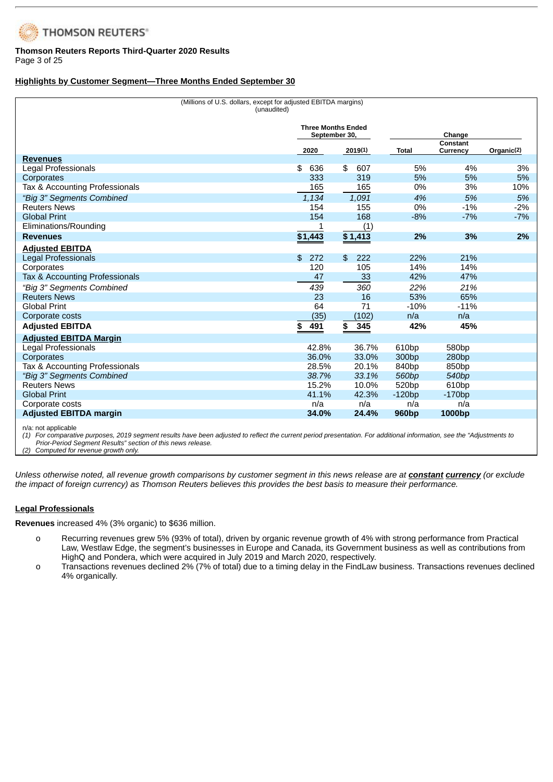

### **Thomson Reuters Reports Third-Quarter 2020 Results** Page 3 of 25

### **Highlights by Customer Segment—Three Months Ended September 30**

| (Millions of U.S. dollars, except for adjusted EBITDA margins)<br>(unaudited) |                                            |           |                   |                      |                        |
|-------------------------------------------------------------------------------|--------------------------------------------|-----------|-------------------|----------------------|------------------------|
|                                                                               | <b>Three Months Ended</b><br>September 30, |           |                   | Change               |                        |
|                                                                               | 2020                                       | 2019(1)   | <b>Total</b>      | Constant<br>Currency | Organic <sup>(2)</sup> |
| <b>Revenues</b>                                                               |                                            |           |                   |                      |                        |
| Legal Professionals                                                           | 636<br>\$                                  | 607<br>\$ | 5%                | 4%                   | 3%                     |
| Corporates                                                                    | 333                                        | 319       | 5%                | 5%                   | 5%                     |
| Tax & Accounting Professionals                                                | 165                                        | 165       | 0%                | 3%                   | 10%                    |
| "Big 3" Segments Combined                                                     | 1,134                                      | 1,091     | 4%                | 5%                   | 5%                     |
| <b>Reuters News</b>                                                           | 154                                        | 155       | 0%                | $-1%$                | $-2%$                  |
| <b>Global Print</b>                                                           | 154                                        | 168       | $-8%$             | $-7%$                | $-7%$                  |
| Eliminations/Rounding                                                         |                                            | (1)       |                   |                      |                        |
| <b>Revenues</b>                                                               | \$1,443                                    | \$1,413   | 2%                | 3%                   | 2%                     |
| <b>Adjusted EBITDA</b>                                                        |                                            |           |                   |                      |                        |
| Legal Professionals                                                           | 272<br>\$                                  | 222<br>\$ | 22%               | 21%                  |                        |
| Corporates                                                                    | 120                                        | 105       | 14%               | 14%                  |                        |
| Tax & Accounting Professionals                                                | 47                                         | 33        | 42%               | 47%                  |                        |
| "Big 3" Segments Combined                                                     | 439                                        | 360       | 22%               | 21%                  |                        |
| <b>Reuters News</b>                                                           | 23                                         | 16        | 53%               | 65%                  |                        |
| <b>Global Print</b>                                                           | 64                                         | 71        | $-10%$            | $-11%$               |                        |
| Corporate costs                                                               | (35)                                       | (102)     | n/a               | n/a                  |                        |
| <b>Adjusted EBITDA</b>                                                        | 491<br>\$                                  | 345<br>\$ | 42%               | 45%                  |                        |
| <b>Adjusted EBITDA Margin</b>                                                 |                                            |           |                   |                      |                        |
| Legal Professionals                                                           | 42.8%                                      | 36.7%     | 610 <sub>bp</sub> | 580 <sub>bp</sub>    |                        |
| Corporates                                                                    | 36.0%                                      | 33.0%     | 300 <sub>bp</sub> | 280bp                |                        |
| Tax & Accounting Professionals                                                | 28.5%                                      | 20.1%     | 840 <sub>bp</sub> | 850 <sub>bp</sub>    |                        |
| "Big 3" Segments Combined                                                     | 38.7%                                      | 33.1%     | 560 <sub>bp</sub> | 540 <sub>bp</sub>    |                        |
| <b>Reuters News</b>                                                           | 15.2%                                      | 10.0%     | 520 <sub>bp</sub> | 610 <sub>bp</sub>    |                        |
| <b>Global Print</b>                                                           | 41.1%                                      | 42.3%     | $-120bp$          | $-170bp$             |                        |
| Corporate costs                                                               | n/a                                        | n/a       | n/a               | n/a                  |                        |
| <b>Adjusted EBITDA margin</b>                                                 | 34.0%                                      | 24.4%     | 960 <sub>bp</sub> | 1000 <sub>bp</sub>   |                        |
|                                                                               |                                            |           |                   |                      |                        |

n/a: not applicable

(1) For comparative purposes, 2019 segment results have been adjusted to reflect the current period presentation. For additional information, see the "Adjustments to *Prior-Period Segment Results" section of this news release.*

*(2) Computed for revenue growth only.*

Unless otherwise noted, all revenue growth comparisons by customer segment in this news release are at **constant currency** (or exclude the impact of foreign currency) as Thomson Reuters believes this provides the best basis to measure their performance.

### **Legal Professionals**

**Revenues** increased 4% (3% organic) to \$636 million.

- o Recurring revenues grew 5% (93% of total), driven by organic revenue growth of 4% with strong performance from Practical Law, Westlaw Edge, the segment's businesses in Europe and Canada, its Government business as well as contributions from HighQ and Pondera, which were acquired in July 2019 and March 2020, respectively.
- o Transactions revenues declined 2% (7% of total) due to a timing delay in the FindLaw business. Transactions revenues declined 4% organically.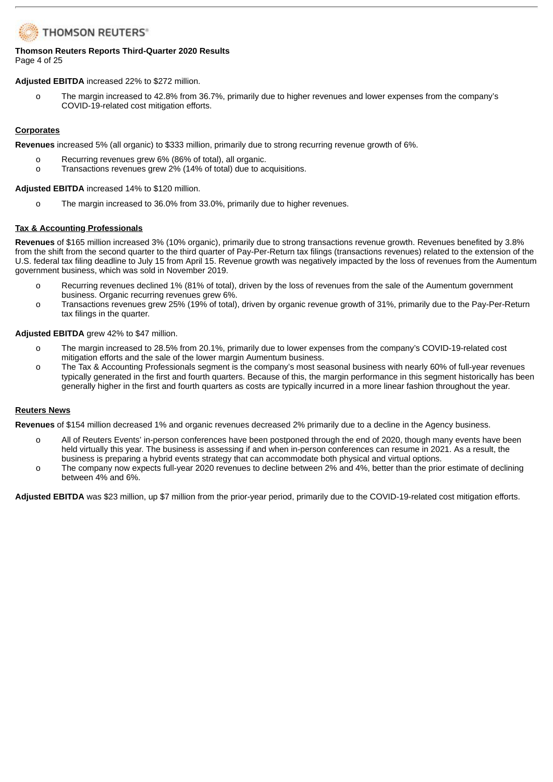# **THOMSON REUTERS®**

### **Thomson Reuters Reports Third-Quarter 2020 Results** Page 4 of 25

**Adjusted EBITDA** increased 22% to \$272 million.

o The margin increased to 42.8% from 36.7%, primarily due to higher revenues and lower expenses from the company's COVID-19-related cost mitigation efforts.

## **Corporates**

**Revenues** increased 5% (all organic) to \$333 million, primarily due to strong recurring revenue growth of 6%.

- o Recurring revenues grew 6% (86% of total), all organic.
- o Transactions revenues grew 2% (14% of total) due to acquisitions.

**Adjusted EBITDA** increased 14% to \$120 million.

o The margin increased to 36.0% from 33.0%, primarily due to higher revenues.

## **Tax & Accounting Professionals**

**Revenues** of \$165 million increased 3% (10% organic), primarily due to strong transactions revenue growth. Revenues benefited by 3.8% from the shift from the second quarter to the third quarter of Pay-Per-Return tax filings (transactions revenues) related to the extension of the U.S. federal tax filing deadline to July 15 from April 15. Revenue growth was negatively impacted by the loss of revenues from the Aumentum government business, which was sold in November 2019.

- o Recurring revenues declined 1% (81% of total), driven by the loss of revenues from the sale of the Aumentum government business. Organic recurring revenues grew 6%.
- o Transactions revenues grew 25% (19% of total), driven by organic revenue growth of 31%, primarily due to the Pay-Per-Return tax filings in the quarter.

### **Adjusted EBITDA** grew 42% to \$47 million.

- o The margin increased to 28.5% from 20.1%, primarily due to lower expenses from the company's COVID-19-related cost mitigation efforts and the sale of the lower margin Aumentum business.
- o The Tax & Accounting Professionals segment is the company's most seasonal business with nearly 60% of full-year revenues typically generated in the first and fourth quarters. Because of this, the margin performance in this segment historically has been generally higher in the first and fourth quarters as costs are typically incurred in a more linear fashion throughout the year.

## **Reuters News**

**Revenues** of \$154 million decreased 1% and organic revenues decreased 2% primarily due to a decline in the Agency business.

- o All of Reuters Events' in-person conferences have been postponed through the end of 2020, though many events have been held virtually this year. The business is assessing if and when in-person conferences can resume in 2021. As a result, the business is preparing a hybrid events strategy that can accommodate both physical and virtual options.
- o The company now expects full-year 2020 revenues to decline between 2% and 4%, better than the prior estimate of declining between 4% and 6%.

**Adjusted EBITDA** was \$23 million, up \$7 million from the prior-year period, primarily due to the COVID-19-related cost mitigation efforts.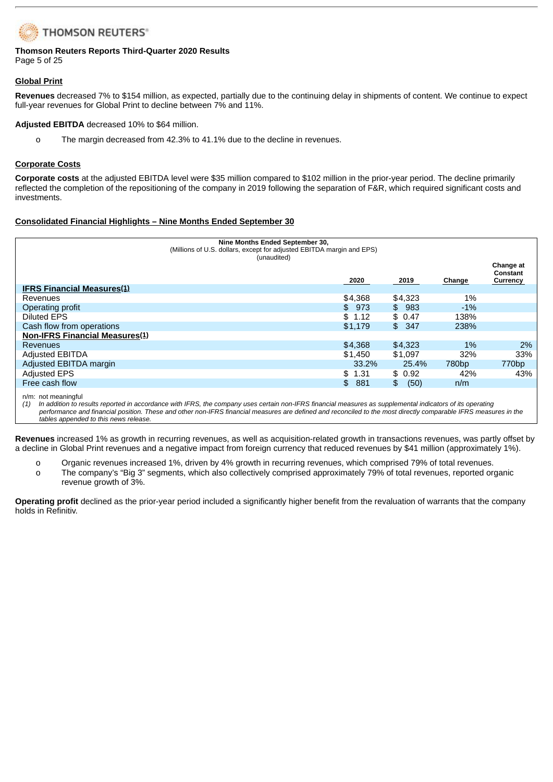# **THOMSON REUTERS®**

### **Thomson Reuters Reports Third-Quarter 2020 Results** Page 5 of 25

### **Global Print**

**Revenues** decreased 7% to \$154 million, as expected, partially due to the continuing delay in shipments of content. We continue to expect full-year revenues for Global Print to decline between 7% and 11%.

**Adjusted EBITDA** decreased 10% to \$64 million.

o The margin decreased from 42.3% to 41.1% due to the decline in revenues.

### **Corporate Costs**

**Corporate costs** at the adjusted EBITDA level were \$35 million compared to \$102 million in the prior-year period. The decline primarily reflected the completion of the repositioning of the company in 2019 following the separation of F&R, which required significant costs and investments.

## **Consolidated Financial Highlights – Nine Months Ended September 30**

| Nine Months Ended September 30,<br>(Millions of U.S. dollars, except for adjusted EBITDA margin and EPS)<br>(unaudited) |  |           |            |                   |                                   |  |  |
|-------------------------------------------------------------------------------------------------------------------------|--|-----------|------------|-------------------|-----------------------------------|--|--|
|                                                                                                                         |  | 2020      | 2019       | Change            | Change at<br>Constant<br>Currency |  |  |
| <b>IFRS Financial Measures</b> (1)                                                                                      |  |           |            |                   |                                   |  |  |
| Revenues                                                                                                                |  | \$4.368   | \$4.323    | 1%                |                                   |  |  |
| Operating profit                                                                                                        |  | \$973     | \$983      | $-1\%$            |                                   |  |  |
| Diluted EPS                                                                                                             |  | \$1.12    | \$0.47     | 138%              |                                   |  |  |
| Cash flow from operations                                                                                               |  | \$1.179   | \$347      | 238%              |                                   |  |  |
| Non-IFRS Financial Measures(1)                                                                                          |  |           |            |                   |                                   |  |  |
| <b>Revenues</b>                                                                                                         |  | \$4,368   | \$4,323    | $1\%$             | 2%                                |  |  |
| <b>Adjusted EBITDA</b>                                                                                                  |  | \$1,450   | \$1.097    | 32%               | 33%                               |  |  |
| Adjusted EBITDA margin                                                                                                  |  | 33.2%     | 25.4%      | 780 <sub>bp</sub> | 770 <sub>bp</sub>                 |  |  |
| <b>Adjusted EPS</b>                                                                                                     |  | \$1.31    | \$0.92     | 42%               | 43%                               |  |  |
| Free cash flow                                                                                                          |  | 881<br>\$ | (50)<br>\$ | n/m               |                                   |  |  |
|                                                                                                                         |  |           |            |                   |                                   |  |  |

n/m: not meaningful

(1) In addition to results reported in accordance with IFRS, the company uses certain non-IFRS financial measures as supplemental indicators of its operating performance and financial position. These and other non-IFRS financial measures are defined and reconciled to the most directly comparable IFRS measures in the *tables appended to this news release.*

**Revenues** increased 1% as growth in recurring revenues, as well as acquisition-related growth in transactions revenues, was partly offset by a decline in Global Print revenues and a negative impact from foreign currency that reduced revenues by \$41 million (approximately 1%).

o Organic revenues increased 1%, driven by 4% growth in recurring revenues, which comprised 79% of total revenues.

o The company's "Big 3" segments, which also collectively comprised approximately 79% of total revenues, reported organic revenue growth of 3%.

**Operating profit** declined as the prior-year period included a significantly higher benefit from the revaluation of warrants that the company holds in Refinitiv.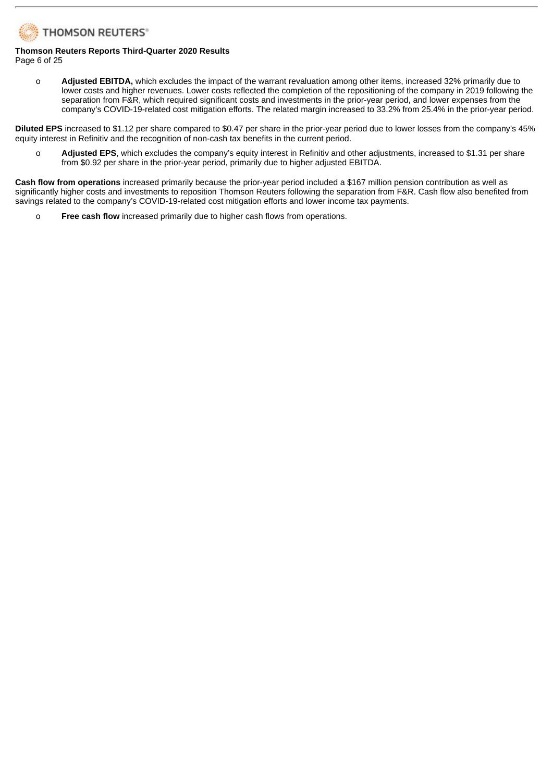

### **Thomson Reuters Reports Third-Quarter 2020 Results** Page 6 of 25

o **Adjusted EBITDA,** which excludes the impact of the warrant revaluation among other items, increased 32% primarily due to lower costs and higher revenues. Lower costs reflected the completion of the repositioning of the company in 2019 following the separation from F&R, which required significant costs and investments in the prior-year period, and lower expenses from the company's COVID-19-related cost mitigation efforts. The related margin increased to 33.2% from 25.4% in the prior-year period.

**Diluted EPS** increased to \$1.12 per share compared to \$0.47 per share in the prior-year period due to lower losses from the company's 45% equity interest in Refinitiv and the recognition of non-cash tax benefits in the current period.

o **Adjusted EPS**, which excludes the company's equity interest in Refinitiv and other adjustments, increased to \$1.31 per share from \$0.92 per share in the prior-year period, primarily due to higher adjusted EBITDA.

**Cash flow from operations** increased primarily because the prior-year period included a \$167 million pension contribution as well as significantly higher costs and investments to reposition Thomson Reuters following the separation from F&R. Cash flow also benefited from savings related to the company's COVID-19-related cost mitigation efforts and lower income tax payments.

o **Free cash flow** increased primarily due to higher cash flows from operations.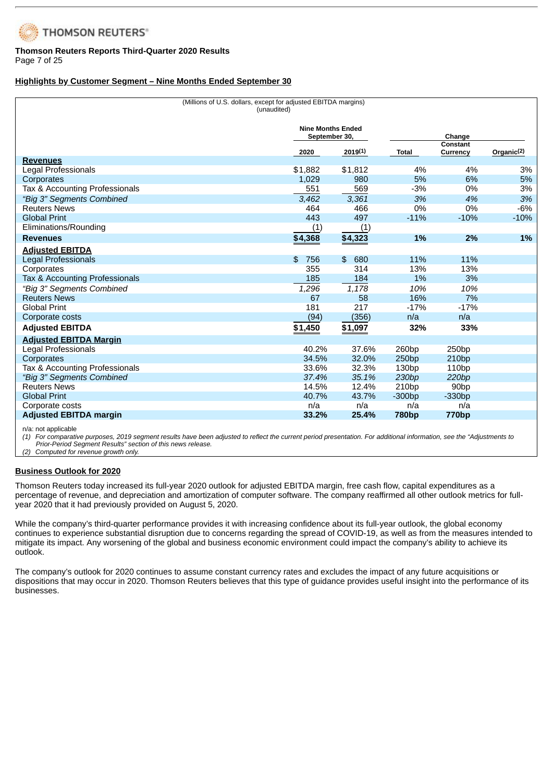

### **Thomson Reuters Reports Third-Quarter 2020 Results** Page 7 of 25

**Highlights by Customer Segment – Nine Months Ended September 30**

| (Millions of U.S. dollars, except for adjusted EBITDA margins)<br>(unaudited) |                                           |                       |                   |                             |               |  |  |
|-------------------------------------------------------------------------------|-------------------------------------------|-----------------------|-------------------|-----------------------------|---------------|--|--|
|                                                                               | <b>Nine Months Ended</b><br>September 30, |                       | Change            |                             |               |  |  |
|                                                                               | 2020                                      | 2019(1)               | Total             | <b>Constant</b><br>Currency | Organic $(2)$ |  |  |
| <b>Revenues</b>                                                               |                                           |                       |                   |                             |               |  |  |
| Legal Professionals                                                           | \$1,882                                   | \$1,812               | 4%                | 4%                          | 3%            |  |  |
| Corporates                                                                    | 1,029                                     | 980                   | 5%                | 6%                          | 5%            |  |  |
| Tax & Accounting Professionals                                                | 551                                       | 569                   | $-3%$             | 0%                          | 3%            |  |  |
| "Big 3" Segments Combined                                                     | 3,462                                     | 3,361                 | 3%                | 4%                          | 3%            |  |  |
| <b>Reuters News</b>                                                           | 464                                       | 466                   | 0%                | 0%                          | $-6%$         |  |  |
| <b>Global Print</b>                                                           | 443                                       | 497                   | $-11%$            | $-10%$                      | $-10%$        |  |  |
| Eliminations/Rounding                                                         | (1)                                       | (1)                   |                   |                             |               |  |  |
| <b>Revenues</b>                                                               | \$4,368                                   | \$4,323               | 1%                | 2%                          | 1%            |  |  |
| <b>Adjusted EBITDA</b>                                                        |                                           |                       |                   |                             |               |  |  |
| Legal Professionals                                                           | \$<br>756                                 | $\mathfrak{L}$<br>680 | 11%               | 11%                         |               |  |  |
| Corporates                                                                    | 355                                       | 314                   | 13%               | 13%                         |               |  |  |
| Tax & Accounting Professionals                                                | 185                                       | 184                   | $1\%$             | 3%                          |               |  |  |
| "Big 3" Segments Combined                                                     | 1,296                                     | 1,178                 | 10%               | 10%                         |               |  |  |
| <b>Reuters News</b>                                                           | 67                                        | 58                    | 16%               | 7%                          |               |  |  |
| <b>Global Print</b>                                                           | 181                                       | 217                   | $-17%$            | $-17%$                      |               |  |  |
| Corporate costs                                                               | (94)                                      | (356)                 | n/a               | n/a                         |               |  |  |
| <b>Adjusted EBITDA</b>                                                        | \$1,450                                   | \$1,097               | 32%               | 33%                         |               |  |  |
| <b>Adjusted EBITDA Margin</b>                                                 |                                           |                       |                   |                             |               |  |  |
| Legal Professionals                                                           | 40.2%                                     | 37.6%                 | 260bp             | 250bp                       |               |  |  |
| Corporates                                                                    | 34.5%                                     | 32.0%                 | 250bp             | 210 <sub>bp</sub>           |               |  |  |
| Tax & Accounting Professionals                                                | 33.6%                                     | 32.3%                 | 130bp             | 110bp                       |               |  |  |
| "Big 3" Segments Combined                                                     | 37.4%                                     | 35.1%                 | 230bp             | 220bp                       |               |  |  |
| <b>Reuters News</b>                                                           | 14.5%                                     | 12.4%                 | 210bp             | 90 <sub>bp</sub>            |               |  |  |
| <b>Global Print</b>                                                           | 40.7%                                     | 43.7%                 | $-300bp$          | $-330bp$                    |               |  |  |
| Corporate costs                                                               | n/a                                       | n/a                   | n/a               | n/a                         |               |  |  |
| <b>Adjusted EBITDA margin</b>                                                 | 33.2%                                     | 25.4%                 | 780 <sub>bp</sub> | 770 <sub>bp</sub>           |               |  |  |

n/a: not applicable

(1) For comparative purposes, 2019 segment results have been adjusted to reflect the current period presentation. For additional information, see the "Adjustments to *Prior-Period Segment Results" section of this news release.*

*(2) Computed for revenue growth only.*

### **Business Outlook for 2020**

Thomson Reuters today increased its full-year 2020 outlook for adjusted EBITDA margin, free cash flow, capital expenditures as a percentage of revenue, and depreciation and amortization of computer software. The company reaffirmed all other outlook metrics for fullyear 2020 that it had previously provided on August 5, 2020.

While the company's third-quarter performance provides it with increasing confidence about its full-year outlook, the global economy continues to experience substantial disruption due to concerns regarding the spread of COVID-19, as well as from the measures intended to mitigate its impact. Any worsening of the global and business economic environment could impact the company's ability to achieve its outlook.

The company's outlook for 2020 continues to assume constant currency rates and excludes the impact of any future acquisitions or dispositions that may occur in 2020. Thomson Reuters believes that this type of guidance provides useful insight into the performance of its businesses.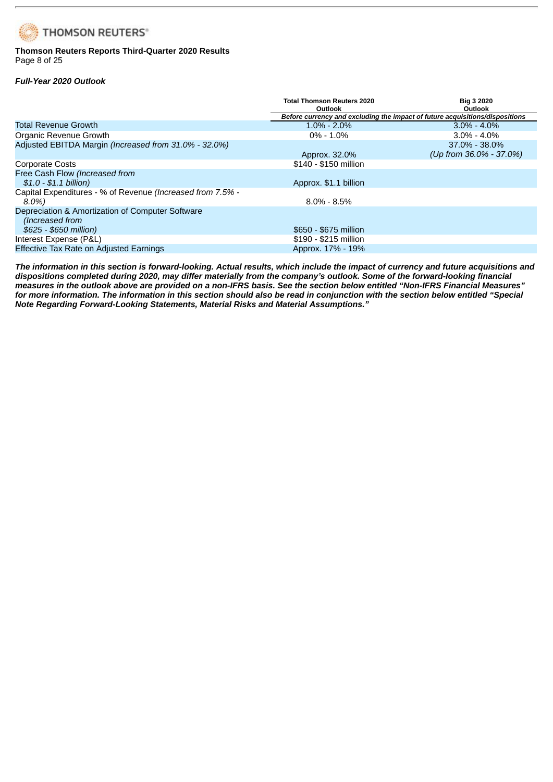# **THOMSON REUTERS®**

## **Thomson Reuters Reports Third-Quarter 2020 Results** Page 8 of 25

# *Full-Year 2020 Outlook*

|                                                                     | <b>Total Thomson Reuters 2020</b><br><b>Outlook</b>                          | <b>Big 3 2020</b><br><b>Outlook</b> |  |  |  |  |  |  |
|---------------------------------------------------------------------|------------------------------------------------------------------------------|-------------------------------------|--|--|--|--|--|--|
|                                                                     | Before currency and excluding the impact of future acquisitions/dispositions |                                     |  |  |  |  |  |  |
| <b>Total Revenue Growth</b>                                         | $1.0\% - 2.0\%$                                                              | $3.0\% - 4.0\%$                     |  |  |  |  |  |  |
| Organic Revenue Growth                                              | $0\% - 1.0\%$                                                                | $3.0\% - 4.0\%$                     |  |  |  |  |  |  |
| Adjusted EBITDA Margin (Increased from 31.0% - 32.0%)               |                                                                              | $37.0\% - 38.0\%$                   |  |  |  |  |  |  |
|                                                                     | Approx. 32.0%                                                                | (Up from $36.0\%$ - 37.0%)          |  |  |  |  |  |  |
| <b>Corporate Costs</b>                                              | \$140 - \$150 million                                                        |                                     |  |  |  |  |  |  |
| Free Cash Flow (Increased from                                      |                                                                              |                                     |  |  |  |  |  |  |
| $$1.0 - $1.1$ billion)                                              | Approx. \$1.1 billion                                                        |                                     |  |  |  |  |  |  |
| Capital Expenditures - % of Revenue (Increased from 7.5% -          |                                                                              |                                     |  |  |  |  |  |  |
| 8.0%)                                                               | $8.0\% - 8.5\%$                                                              |                                     |  |  |  |  |  |  |
| Depreciation & Amortization of Computer Software<br>(Increased from |                                                                              |                                     |  |  |  |  |  |  |
| \$625 - \$650 million)                                              | \$650 - \$675 million                                                        |                                     |  |  |  |  |  |  |
| Interest Expense (P&L)                                              | \$190 - \$215 million                                                        |                                     |  |  |  |  |  |  |
| Effective Tax Rate on Adjusted Earnings                             | Approx. 17% - 19%                                                            |                                     |  |  |  |  |  |  |

The information in this section is forward-looking. Actual results, which include the impact of currency and future acquisitions and dispositions completed during 2020, may differ materially from the company's outlook. Some of the forward-looking financial measures in the outlook above are provided on a non-IFRS basis. See the section below entitled "Non-IFRS Financial Measures" for more information. The information in this section should also be read in conjunction with the section below entitled "Special *Note Regarding Forward-Looking Statements, Material Risks and Material Assumptions."*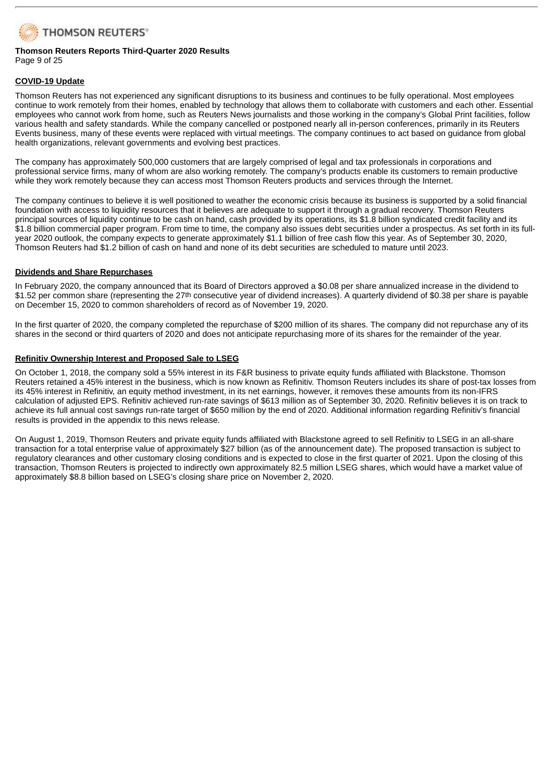

### **Thomson Reuters Reports Third-Quarter 2020 Results** Page 9 of 25

### **COVID-19 Update**

Thomson Reuters has not experienced any significant disruptions to its business and continues to be fully operational. Most employees continue to work remotely from their homes, enabled by technology that allows them to collaborate with customers and each other. Essential employees who cannot work from home, such as Reuters News journalists and those working in the company's Global Print facilities, follow various health and safety standards. While the company cancelled or postponed nearly all in-person conferences, primarily in its Reuters Events business, many of these events were replaced with virtual meetings. The company continues to act based on guidance from global health organizations, relevant governments and evolving best practices.

The company has approximately 500,000 customers that are largely comprised of legal and tax professionals in corporations and professional service firms, many of whom are also working remotely. The company's products enable its customers to remain productive while they work remotely because they can access most Thomson Reuters products and services through the Internet.

The company continues to believe it is well positioned to weather the economic crisis because its business is supported by a solid financial foundation with access to liquidity resources that it believes are adequate to support it through a gradual recovery. Thomson Reuters principal sources of liquidity continue to be cash on hand, cash provided by its operations, its \$1.8 billion syndicated credit facility and its \$1.8 billion commercial paper program. From time to time, the company also issues debt securities under a prospectus. As set forth in its fullyear 2020 outlook, the company expects to generate approximately \$1.1 billion of free cash flow this year. As of September 30, 2020, Thomson Reuters had \$1.2 billion of cash on hand and none of its debt securities are scheduled to mature until 2023.

### **Dividends and Share Repurchases**

In February 2020, the company announced that its Board of Directors approved a \$0.08 per share annualized increase in the dividend to \$1.52 per common share (representing the 27<sup>th</sup> consecutive year of dividend increases). A quarterly dividend of \$0.38 per share is payable on December 15, 2020 to common shareholders of record as of November 19, 2020.

In the first quarter of 2020, the company completed the repurchase of \$200 million of its shares. The company did not repurchase any of its shares in the second or third quarters of 2020 and does not anticipate repurchasing more of its shares for the remainder of the year.

### **Refinitiv Ownership Interest and Proposed Sale to LSEG**

On October 1, 2018, the company sold a 55% interest in its F&R business to private equity funds affiliated with Blackstone. Thomson Reuters retained a 45% interest in the business, which is now known as Refinitiv. Thomson Reuters includes its share of post-tax losses from its 45% interest in Refinitiv, an equity method investment, in its net earnings, however, it removes these amounts from its non-IFRS calculation of adjusted EPS. Refinitiv achieved run-rate savings of \$613 million as of September 30, 2020. Refinitiv believes it is on track to achieve its full annual cost savings run-rate target of \$650 million by the end of 2020. Additional information regarding Refinitiv's financial results is provided in the appendix to this news release.

On August 1, 2019, Thomson Reuters and private equity funds affiliated with Blackstone agreed to sell Refinitiv to LSEG in an all-share transaction for a total enterprise value of approximately \$27 billion (as of the announcement date). The proposed transaction is subject to regulatory clearances and other customary closing conditions and is expected to close in the first quarter of 2021. Upon the closing of this transaction, Thomson Reuters is projected to indirectly own approximately 82.5 million LSEG shares, which would have a market value of approximately \$8.8 billion based on LSEG's closing share price on November 2, 2020.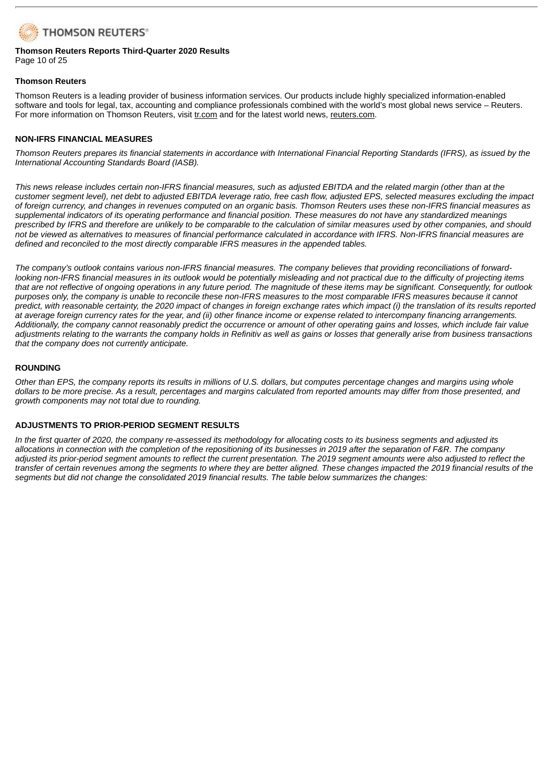

### **Thomson Reuters Reports Third-Quarter 2020 Results** Page 10 of 25

### **Thomson Reuters**

Thomson Reuters is a leading provider of business information services. Our products include highly specialized information-enabled software and tools for legal, tax, accounting and compliance professionals combined with the world's most global news service – Reuters. For more information on Thomson Reuters, visit tr.com and for the latest world news, reuters.com.

### **NON-IFRS FINANCIAL MEASURES**

Thomson Reuters prepares its financial statements in accordance with International Financial Reporting Standards (IFRS), as issued by the *International Accounting Standards Board (IASB).*

This news release includes certain non-IFRS financial measures, such as adjusted EBITDA and the related margin (other than at the customer segment level), net debt to adjusted EBITDA leverage ratio, free cash flow, adjusted EPS, selected measures excluding the impact of foreign currency, and changes in revenues computed on an organic basis. Thomson Reuters uses these non-IFRS financial measures as supplemental indicators of its operating performance and financial position. These measures do not have any standardized meanings prescribed by IFRS and therefore are unlikely to be comparable to the calculation of similar measures used by other companies, and should not be viewed as alternatives to measures of financial performance calculated in accordance with IFRS. Non-IFRS financial measures are *defined and reconciled to the most directly comparable IFRS measures in the appended tables.*

The company's outlook contains various non-IFRS financial measures. The company believes that providing reconciliations of forwardlooking non-IFRS financial measures in its outlook would be potentially misleading and not practical due to the difficulty of projecting items that are not reflective of ongoing operations in any future period. The magnitude of these items may be significant. Consequently, for outlook purposes only, the company is unable to reconcile these non-IFRS measures to the most comparable IFRS measures because it cannot predict, with reasonable certainty, the 2020 impact of changes in foreign exchange rates which impact (i) the translation of its results reported at average foreign currency rates for the year, and (ii) other finance income or expense related to intercompany financing arrangements. Additionally, the company cannot reasonably predict the occurrence or amount of other operating gains and losses, which include fair value adjustments relating to the warrants the company holds in Refinitiv as well as gains or losses that generally arise from business transactions *that the company does not currently anticipate.*

### **ROUNDING**

Other than EPS, the company reports its results in millions of U.S. dollars, but computes percentage changes and margins using whole dollars to be more precise. As a result, percentages and margins calculated from reported amounts may differ from those presented, and *growth components may not total due to rounding.*

## **ADJUSTMENTS TO PRIOR-PERIOD SEGMENT RESULTS**

In the first quarter of 2020, the company re-assessed its methodology for allocating costs to its business segments and adjusted its allocations in connection with the completion of the repositioning of its businesses in 2019 after the separation of F&R. The company adjusted its prior-period segment amounts to reflect the current presentation. The 2019 segment amounts were also adjusted to reflect the transfer of certain revenues among the segments to where they are better aligned. These changes impacted the 2019 financial results of the *segments but did not change the consolidated 2019 financial results. The table below summarizes the changes:*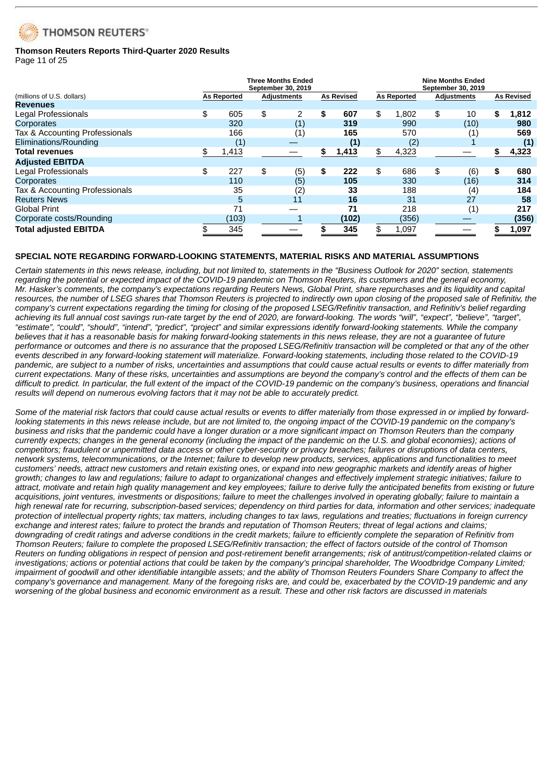

# **Thomson Reuters Reports Third-Quarter 2020 Results**

Page 11 of 25

|                                |                    | <b>Three Months Ended</b><br>September 30, 2019 |                   |                    | <b>Nine Months Ended</b><br>September 30, 2019 |    |                   |
|--------------------------------|--------------------|-------------------------------------------------|-------------------|--------------------|------------------------------------------------|----|-------------------|
| (millions of U.S. dollars)     | <b>As Reported</b> | Adjustments                                     | <b>As Revised</b> | <b>As Reported</b> | Adjustments                                    |    | <b>As Revised</b> |
| <b>Revenues</b>                |                    |                                                 |                   |                    |                                                |    |                   |
| Legal Professionals            | \$<br>605          | \$<br>2                                         | \$<br>607         | \$<br>1.802        | \$<br>10                                       | S. | 1,812             |
| Corporates                     | 320                | (1)                                             | 319               | 990                | (10)                                           |    | 980               |
| Tax & Accounting Professionals | 166                | (1)                                             | 165               | 570                | (1)                                            |    | 569               |
| Eliminations/Rounding          | (1)                |                                                 | (1)               | (2)                |                                                |    | (1)               |
| <b>Total revenues</b>          | 1,413              |                                                 | \$<br>1,413       | \$<br>4,323        |                                                |    | 4,323             |
| <b>Adjusted EBITDA</b>         |                    |                                                 |                   |                    |                                                |    |                   |
| Legal Professionals            | \$<br>227          | \$<br>(5)                                       | \$<br>222         | \$<br>686          | \$<br>(6)                                      | \$ | 680               |
| Corporates                     | 110                | (5)                                             | 105               | 330                | (16)                                           |    | 314               |
| Tax & Accounting Professionals | 35                 | (2)                                             | 33                | 188                | (4)                                            |    | 184               |
| <b>Reuters News</b>            | 5                  | 11                                              | 16                | 31                 | 27                                             |    | 58                |
| <b>Global Print</b>            | 71                 |                                                 | 71                | 218                | (1)                                            |    | 217               |
| Corporate costs/Rounding       | (103)              |                                                 | (102)             | (356)              |                                                |    | (356)             |
| <b>Total adjusted EBITDA</b>   | 345                |                                                 | 345               | 1,097              |                                                |    | 1,097             |

## **SPECIAL NOTE REGARDING FORWARD-LOOKING STATEMENTS, MATERIAL RISKS AND MATERIAL ASSUMPTIONS**

Certain statements in this news release, including, but not limited to, statements in the "Business Outlook for 2020" section, statements regarding the potential or expected impact of the COVID-19 pandemic on Thomson Reuters, its customers and the general economy, Mr. Hasker's comments, the company's expectations regarding Reuters News, Global Print, share repurchases and its liquidity and capital resources, the number of LSEG shares that Thomson Reuters is projected to indirectly own upon closing of the proposed sale of Refinitiv, the company's current expectations regarding the timing for closing of the proposed LSEG/Refinitiv transaction, and Refinitiv's belief regarding achieving its full annual cost savings run-rate target by the end of 2020, are forward-looking. The words "will", "expect", "believe", "target", "estimate", "could", "should", "intend", "predict", "project" and similar expressions identify forward-looking statements. While the company believes that it has a reasonable basis for making forward-looking statements in this news release, they are not a quarantee of future performance or outcomes and there is no assurance that the proposed LSEG/Refinitiv transaction will be completed or that any of the other events described in any forward-looking statement will materialize. Forward-looking statements, including those related to the COVID-19 pandemic, are subject to a number of risks, uncertainties and assumptions that could cause actual results or events to differ materially from current expectations. Many of these risks, uncertainties and assumptions are bevond the company's control and the effects of them can be difficult to predict. In particular, the full extent of the impact of the COVID-19 pandemic on the company's business, operations and financial *results will depend on numerous evolving factors that it may not be able to accurately predict.*

Some of the material risk factors that could cause actual results or events to differ materially from those expressed in or implied by forwardlooking statements in this news release include, but are not limited to, the ongoing impact of the COVID-19 pandemic on the company's business and risks that the pandemic could have a longer duration or a more significant impact on Thomson Reuters than the company currently expects; changes in the general economy (including the impact of the pandemic on the U.S. and global economies); actions of competitors; fraudulent or unpermitted data access or other cyber-security or privacy breaches; failures or disruptions of data centers, network systems, telecommunications, or the Internet; failure to develop new products, services, applications and functionalities to meet customers' needs, attract new customers and retain existing ones, or expand into new geographic markets and identify areas of higher growth; changes to law and regulations; failure to adapt to organizational changes and effectively implement strategic initiatives; failure to attract, motivate and retain high quality management and key employees; failure to derive fully the anticipated benefits from existing or future acquisitions, joint ventures, investments or dispositions; failure to meet the challenges involved in operating globally; failure to maintain a high renewal rate for recurring, subscription-based services; dependency on third parties for data, information and other services; inadequate protection of intellectual property rights; tax matters, including changes to tax laws, regulations and treaties; fluctuations in foreign currency exchange and interest rates; failure to protect the brands and reputation of Thomson Reuters; threat of legal actions and claims; downarading of credit ratings and adverse conditions in the credit markets: failure to efficiently complete the separation of Refinitiv from Thomson Reuters; failure to complete the proposed LSEG/Refinitiv transaction; the effect of factors outside of the control of Thomson Reuters on funding obligations in respect of pension and post-retirement benefit arrangements; risk of antitrust/competition-related claims or investigations; actions or potential actions that could be taken by the company's principal shareholder, The Woodbridge Company Limited; impairment of goodwill and other identifiable intangible assets; and the ability of Thomson Reuters Founders Share Company to affect the company's governance and management. Many of the foregoing risks are, and could be, exacerbated by the COVID-19 pandemic and any worsening of the global business and economic environment as a result. These and other risk factors are discussed in materials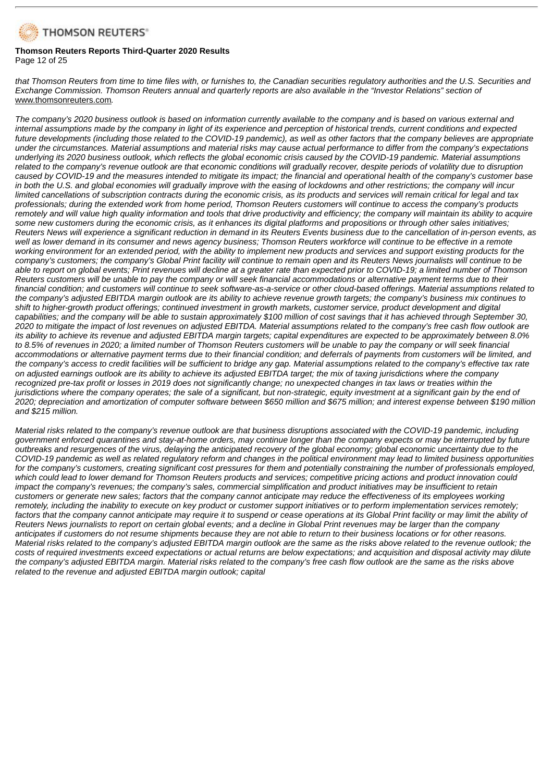

### **Thomson Reuters Reports Third-Quarter 2020 Results** Page 12 of 25

that Thomson Reuters from time to time files with, or furnishes to, the Canadian securities regulatory authorities and the U.S. Securities and Exchange Commission. Thomson Reuters annual and quarterly reports are also available in the "Investor Relations" section of www.thomsonreuters.com*.*

The company's 2020 business outlook is based on information currently available to the company and is based on various external and internal assumptions made by the company in light of its experience and perception of historical trends, current conditions and expected future developments (including those related to the COVID-19 pandemic), as well as other factors that the company believes are appropriate under the circumstances. Material assumptions and material risks may cause actual performance to differ from the company's expectations underlying its 2020 business outlook, which reflects the global economic crisis caused by the COVID-19 pandemic. Material assumptions related to the company's revenue outlook are that economic conditions will gradually recover, despite periods of volatility due to disruption caused by COVID-19 and the measures intended to mitigate its impact; the financial and operational health of the company's customer base in both the U.S. and global economies will gradually improve with the easing of lockdowns and other restrictions; the company will incur limited cancellations of subscription contracts during the economic crisis, as its products and services will remain critical for legal and tax professionals; during the extended work from home period, Thomson Reuters customers will continue to access the company's products remotely and will value high quality information and tools that drive productivity and efficiency; the company will maintain its ability to acquire some new customers during the economic crisis, as it enhances its digital platforms and propositions or through other sales initiatives; Reuters News will experience a significant reduction in demand in its Reuters Events business due to the cancellation of in-person events, as well as lower demand in its consumer and news agency business; Thomson Reuters workforce will continue to be effective in a remote working environment for an extended period, with the ability to implement new products and services and support existing products for the company's customers; the company's Global Print facility will continue to remain open and its Reuters News journalists will continue to be able to report on global events; Print revenues will decline at a greater rate than expected prior to COVID-19; a limited number of Thomson Reuters customers will be unable to pay the company or will seek financial accommodations or alternative payment terms due to their financial condition; and customers will continue to seek software-as-a-service or other cloud-based offerings. Material assumptions related to the company's adjusted EBITDA margin outlook are its ability to achieve revenue growth targets; the company's business mix continues to shift to higher-growth product offerings; continued investment in growth markets, customer service, product development and digital capabilities; and the company will be able to sustain approximately \$100 million of cost savings that it has achieved through September 30, 2020 to mitigate the impact of lost revenues on adjusted EBITDA. Material assumptions related to the company's free cash flow outlook are its ability to achieve its revenue and adjusted EBITDA margin targets; capital expenditures are expected to be approximately between 8.0% to 8.5% of revenues in 2020; a limited number of Thomson Reuters customers will be unable to pay the company or will seek financial accommodations or alternative payment terms due to their financial condition; and deferrals of payments from customers will be limited, and the company's access to credit facilities will be sufficient to bridge any gap. Material assumptions related to the company's effective tax rate on adjusted earnings outlook are its ability to achieve its adjusted EBITDA target; the mix of taxing jurisdictions where the company recognized pre-tax profit or losses in 2019 does not significantly change; no unexpected changes in tax laws or treaties within the jurisdictions where the company operates; the sale of a significant, but non-strategic, equity investment at a significant gain by the end of 2020; depreciation and amortization of computer software between \$650 million and \$675 million; and interest expense between \$190 million *and \$215 million.*

Material risks related to the company's revenue outlook are that business disruptions associated with the COVID-19 pandemic, including government enforced quarantines and stay-at-home orders, may continue longer than the company expects or may be interrupted by future outbreaks and resurgences of the virus, delaying the anticipated recovery of the global economy; global economic uncertainty due to the COVID-19 pandemic as well as related regulatory reform and changes in the political environment may lead to limited business opportunities for the company's customers, creating significant cost pressures for them and potentially constraining the number of professionals employed, which could lead to lower demand for Thomson Reuters products and services; competitive pricing actions and product innovation could impact the company's revenues; the company's sales, commercial simplification and product initiatives may be insufficient to retain customers or generate new sales; factors that the company cannot anticipate may reduce the effectiveness of its employees working remotely, including the inability to execute on key product or customer support initiatives or to perform implementation services remotely; factors that the company cannot anticipate may require it to suspend or cease operations at its Global Print facility or may limit the ability of Reuters News journalists to report on certain global events; and a decline in Global Print revenues may be larger than the company anticipates if customers do not resume shipments because they are not able to return to their business locations or for other reasons. Material risks related to the company's adjusted EBITDA margin outlook are the same as the risks above related to the revenue outlook; the costs of required investments exceed expectations or actual returns are below expectations; and acquisition and disposal activity may dilute the company's adjusted EBITDA margin. Material risks related to the company's free cash flow outlook are the same as the risks above *related to the revenue and adjusted EBITDA margin outlook; capital*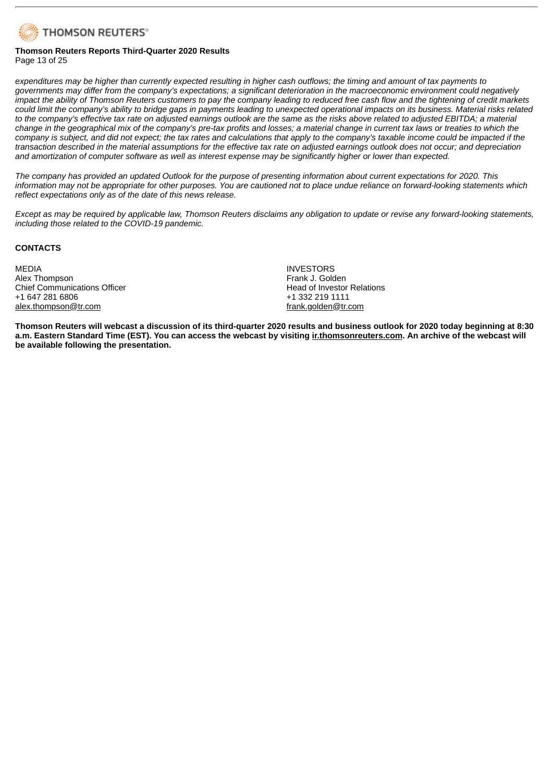

### **Thomson Reuters Reports Third-Quarter 2020 Results** Page 13 of 25

expenditures may be higher than currently expected resulting in higher cash outflows; the timing and amount of tax payments to governments may differ from the company's expectations; a significant deterioration in the macroeconomic environment could negatively impact the ability of Thomson Reuters customers to pay the company leading to reduced free cash flow and the tightening of credit markets could limit the company's ability to bridge gaps in payments leading to unexpected operational impacts on its business. Material risks related to the company's effective tax rate on adjusted earnings outlook are the same as the risks above related to adjusted EBITDA; a material change in the geographical mix of the company's pre-tax profits and losses; a material change in current tax laws or treaties to which the company is subject, and did not expect; the tax rates and calculations that apply to the company's taxable income could be impacted if the transaction described in the material assumptions for the effective tax rate on adjusted earnings outlook does not occur; and depreciation and amortization of computer software as well as interest expense may be significantly higher or lower than expected.

The company has provided an updated Outlook for the purpose of presenting information about current expectations for 2020. This information may not be appropriate for other purposes. You are cautioned not to place undue reliance on forward-looking statements which *reflect expectations only as of the date of this news release.*

Except as may be required by applicable law, Thomson Reuters disclaims any obligation to update or revise any forward-looking statements, *including those related to the COVID-19 pandemic.*

### **CONTACTS**

MEDIA Alex Thompson Chief Communications Officer +1 647 281 6806 alex.thompson@tr.com

INVESTORS Frank J. Golden Head of Investor Relations +1 332 219 1111 frank.golden@tr.com

Thomson Reuters will webcast a discussion of its third-quarter 2020 results and business outlook for 2020 today beginning at 8:30 a.m. Eastern Standard Time (EST). You can access the webcast by visiting inthomsonreuters.com. An archive of the webcast will **be available following the presentation.**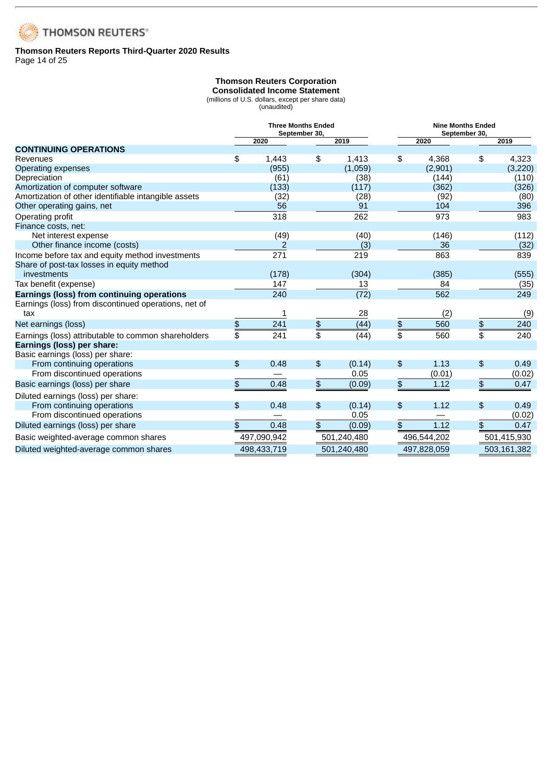

### **Thomson Reuters Reports Third-Quarter 2020 Results** Page 14 of 25

# **Thomson Reuters Corporation**

**Consolidated Income Statement**

(millions of U.S. dollars, except per share data) (unaudited)

|                                                      | <b>Three Months Ended</b><br>September 30, |             |    | <b>Nine Months Ended</b><br>September 30, |    |             |               |             |
|------------------------------------------------------|--------------------------------------------|-------------|----|-------------------------------------------|----|-------------|---------------|-------------|
|                                                      |                                            | 2020        |    | 2019                                      |    | 2020        |               | 2019        |
| <b>CONTINUING OPERATIONS</b>                         |                                            |             |    |                                           |    |             |               |             |
| Revenues                                             | \$                                         | 1,443       | \$ | 1,413                                     | \$ | 4,368       | \$            | 4,323       |
| Operating expenses                                   |                                            | (955)       |    | (1,059)                                   |    | (2,901)     |               | (3, 220)    |
| Depreciation                                         |                                            | (61)        |    | (38)                                      |    | (144)       |               | (110)       |
| Amortization of computer software                    |                                            | (133)       |    | (117)                                     |    | (362)       |               | (326)       |
| Amortization of other identifiable intangible assets |                                            | (32)        |    | (28)                                      |    | (92)        |               | (80)        |
| Other operating gains, net                           |                                            | 56          |    | 91                                        |    | 104         |               | 396         |
| Operating profit                                     |                                            | 318         |    | 262                                       |    | 973         |               | 983         |
| Finance costs, net:                                  |                                            |             |    |                                           |    |             |               |             |
| Net interest expense                                 |                                            | (49)        |    | (40)                                      |    | (146)       |               | (112)       |
| Other finance income (costs)                         |                                            | 2           |    | (3)                                       |    | 36          |               | (32)        |
| Income before tax and equity method investments      |                                            | 271         |    | 219                                       |    | 863         |               | 839         |
| Share of post-tax losses in equity method            |                                            |             |    |                                           |    |             |               |             |
| investments                                          |                                            | (178)       |    | (304)                                     |    | (385)       |               | (555)       |
| Tax benefit (expense)                                |                                            | 147         |    | 13                                        |    | 84          |               | (35)        |
| Earnings (loss) from continuing operations           |                                            | 240         |    | (72)                                      |    | 562         |               | 249         |
| Earnings (loss) from discontinued operations, net of |                                            |             |    |                                           |    |             |               |             |
| tax                                                  |                                            | 1           |    | 28                                        |    | (2)         |               | (9)         |
| Net earnings (loss)                                  | \$                                         | 241         | \$ | (44)                                      | \$ | 560         | \$            | 240         |
| Earnings (loss) attributable to common shareholders  | \$                                         | 241         | \$ | (44)                                      | \$ | 560         |               | 240         |
| Earnings (loss) per share:                           |                                            |             |    |                                           |    |             |               |             |
| Basic earnings (loss) per share:                     |                                            |             |    |                                           |    |             |               |             |
| From continuing operations                           | \$                                         | 0.48        | \$ | (0.14)                                    | \$ | 1.13        | \$            | 0.49        |
| From discontinued operations                         |                                            |             |    | 0.05                                      |    | (0.01)      |               | (0.02)      |
| Basic earnings (loss) per share                      | \$                                         | 0.48        | \$ | (0.09)                                    | \$ | 1.12        | \$            | 0.47        |
| Diluted earnings (loss) per share:                   |                                            |             |    |                                           |    |             |               |             |
| From continuing operations                           | \$                                         | 0.48        | \$ | (0.14)                                    | \$ | 1.12        | $\frac{1}{2}$ | 0.49        |
| From discontinued operations                         |                                            |             |    | 0.05                                      |    |             |               | (0.02)      |
| Diluted earnings (loss) per share                    | \$                                         | 0.48        | \$ | (0.09)                                    | \$ | 1.12        | \$            | 0.47        |
| Basic weighted-average common shares                 |                                            | 497,090,942 |    | 501,240,480                               |    | 496,544,202 |               | 501,415,930 |
| Diluted weighted-average common shares               |                                            | 498,433,719 |    | 501,240,480                               |    | 497,828,059 |               | 503,161,382 |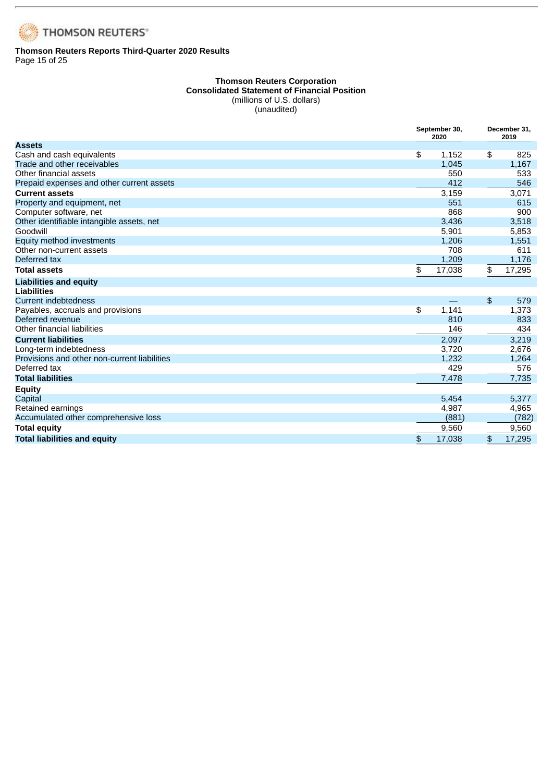

### **Thomson Reuters Reports Third-Quarter 2020 Results** Page 15 of 25

### **Thomson Reuters Corporation Consolidated Statement of Financial Position** (millions of U.S. dollars)

(unaudited)

|                                              | September 30,<br>2020 |        | December 31,<br>2019 |
|----------------------------------------------|-----------------------|--------|----------------------|
| <b>Assets</b>                                |                       |        |                      |
| Cash and cash equivalents                    | \$                    | 1,152  | \$<br>825            |
| Trade and other receivables                  |                       | 1,045  | 1,167                |
| Other financial assets                       |                       | 550    | 533                  |
| Prepaid expenses and other current assets    |                       | 412    | 546                  |
| <b>Current assets</b>                        |                       | 3,159  | 3,071                |
| Property and equipment, net                  |                       | 551    | 615                  |
| Computer software, net                       |                       | 868    | 900                  |
| Other identifiable intangible assets, net    |                       | 3,436  | 3,518                |
| Goodwill                                     |                       | 5,901  | 5,853                |
| Equity method investments                    |                       | 1,206  | 1,551                |
| Other non-current assets                     |                       | 708    | 611                  |
| Deferred tax                                 |                       | 1,209  | 1,176                |
| <b>Total assets</b>                          | \$                    | 17,038 | \$<br>17,295         |
| <b>Liabilities and equity</b>                |                       |        |                      |
| <b>Liabilities</b>                           |                       |        |                      |
| <b>Current indebtedness</b>                  |                       |        | \$<br>579            |
| Payables, accruals and provisions            | \$                    | 1.141  | 1,373                |
| Deferred revenue                             |                       | 810    | 833                  |
| Other financial liabilities                  |                       | 146    | 434                  |
| <b>Current liabilities</b>                   |                       | 2,097  | 3,219                |
| Long-term indebtedness                       |                       | 3,720  | 2,676                |
| Provisions and other non-current liabilities |                       | 1,232  | 1,264                |
| Deferred tax                                 |                       | 429    | 576                  |
| <b>Total liabilities</b>                     |                       | 7,478  | 7,735                |
| <b>Equity</b>                                |                       |        |                      |
| Capital                                      |                       | 5,454  | 5,377                |
| Retained earnings                            |                       | 4,987  | 4,965                |
| Accumulated other comprehensive loss         |                       | (881)  | (782)                |
| <b>Total equity</b>                          |                       | 9,560  | 9,560                |
| <b>Total liabilities and equity</b>          | \$                    | 17,038 | \$<br>17,295         |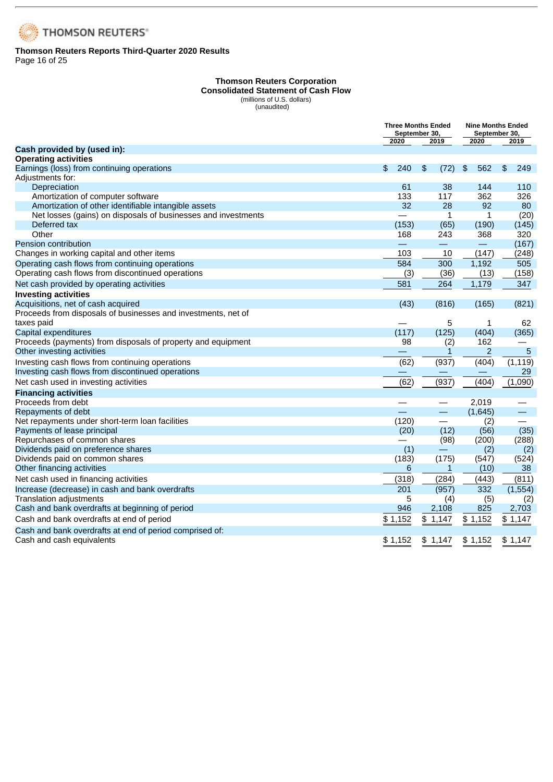

### **Thomson Reuters Reports Third-Quarter 2020 Results** Page 16 of 25

#### **Thomson Reuters Corporation Consolidated Statement of Cash Flow** (millions of U.S. dollars)

(unaudited)

|                                                               |           | <b>Three Months Ended</b><br>September 30, | September 30,        | <b>Nine Months Ended</b> |
|---------------------------------------------------------------|-----------|--------------------------------------------|----------------------|--------------------------|
| Cash provided by (used in):                                   | 2020      | 2019                                       | 2020                 | 2019                     |
| <b>Operating activities</b>                                   |           |                                            |                      |                          |
| Earnings (loss) from continuing operations                    | 240<br>\$ | \$<br>(72)                                 | 562<br>$\frac{1}{2}$ | \$<br>249                |
| Adjustments for:                                              |           |                                            |                      |                          |
| Depreciation                                                  | 61        | 38                                         | 144                  | 110                      |
| Amortization of computer software                             | 133       | 117                                        | 362                  | 326                      |
| Amortization of other identifiable intangible assets          | 32        | 28                                         | 92                   | 80                       |
| Net losses (gains) on disposals of businesses and investments |           | 1                                          | 1                    | (20)                     |
| Deferred tax                                                  | (153)     | (65)                                       | (190)                | (145)                    |
| Other                                                         | 168       | 243                                        | 368                  | 320                      |
| <b>Pension contribution</b>                                   |           | $\qquad \qquad \overline{\qquad \qquad }$  |                      | (167)                    |
| Changes in working capital and other items                    | 103       | 10                                         | (147)                | (248)                    |
| Operating cash flows from continuing operations               | 584       | 300                                        | 1,192                | 505                      |
| Operating cash flows from discontinued operations             | (3)       | (36)                                       | (13)                 | (158)                    |
| Net cash provided by operating activities                     | 581       | 264                                        | 1,179                | 347                      |
| <b>Investing activities</b>                                   |           |                                            |                      |                          |
| Acquisitions, net of cash acquired                            | (43)      | (816)                                      | (165)                | (821)                    |
| Proceeds from disposals of businesses and investments, net of |           |                                            |                      |                          |
| taxes paid                                                    |           | 5                                          | 1                    | 62                       |
| Capital expenditures                                          | (117)     | (125)                                      | (404)                | (365)                    |
| Proceeds (payments) from disposals of property and equipment  | 98        | (2)                                        | 162                  |                          |
| Other investing activities                                    |           | 1                                          | $\overline{c}$       | 5                        |
| Investing cash flows from continuing operations               | (62)      | (937)                                      | (404)                | (1, 119)                 |
| Investing cash flows from discontinued operations             |           |                                            |                      | 29                       |
| Net cash used in investing activities                         | (62)      | (937)                                      | (404)                | (1,090)                  |
| <b>Financing activities</b>                                   |           |                                            |                      |                          |
| Proceeds from debt                                            |           |                                            | 2,019                |                          |
| Repayments of debt                                            |           | $\overline{\phantom{0}}$                   | (1,645)              | —                        |
| Net repayments under short-term loan facilities               | (120)     |                                            | (2)                  |                          |
| Payments of lease principal                                   | (20)      | (12)                                       | (56)                 | (35)                     |
| Repurchases of common shares                                  |           | (98)                                       | (200)                | (288)                    |
| Dividends paid on preference shares                           | (1)       |                                            | (2)                  | (2)                      |
| Dividends paid on common shares                               | (183)     | (175)                                      | (547)                | (524)                    |
| Other financing activities                                    | 6         | $\mathbf{1}$                               | (10)                 | 38                       |
| Net cash used in financing activities                         | (318)     | (284)                                      | (443)                | (811)                    |
| Increase (decrease) in cash and bank overdrafts               | 201       | (957)                                      | 332                  | (1, 554)                 |
| <b>Translation adjustments</b>                                | 5         | (4)                                        | (5)                  | (2)                      |
| Cash and bank overdrafts at beginning of period               | 946       | 2,108                                      | 825                  | 2,703                    |
| Cash and bank overdrafts at end of period                     | \$1,152   | \$1,147                                    | \$1,152              | \$1,147                  |
| Cash and bank overdrafts at end of period comprised of:       |           |                                            |                      |                          |
| Cash and cash equivalents                                     | \$1.152   | \$1.147                                    | \$1.152              | \$1,147                  |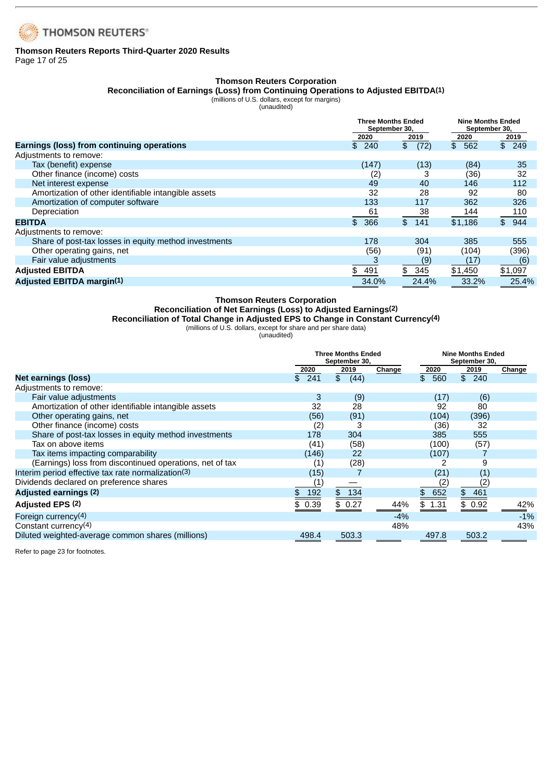

### **Thomson Reuters Reports Third-Quarter 2020 Results** Page 17 of 25

# **Thomson Reuters Corporation**

### **Reconciliation of Earnings (Loss) from Continuing Operations to Adjusted EBITDA(1)**

(millions of U.S. dollars, except for margins)

|                                                       | <b>Three Months Ended</b><br>September 30, |                        | <b>Nine Months Ended</b><br>September 30, |         |
|-------------------------------------------------------|--------------------------------------------|------------------------|-------------------------------------------|---------|
|                                                       | 2020                                       | 2019                   | 2020                                      | 2019    |
| Earnings (loss) from continuing operations            | \$240                                      | $\mathfrak{L}$<br>(72) | $$^{\circ}$<br>562                        | \$249   |
| Adjustments to remove:                                |                                            |                        |                                           |         |
| Tax (benefit) expense                                 | (147)                                      | (13)                   | (84)                                      | 35      |
| Other finance (income) costs                          | (2)                                        |                        | (36)                                      | 32      |
| Net interest expense                                  | 49                                         | 40                     | 146                                       | 112     |
| Amortization of other identifiable intangible assets  | 32                                         | 28                     | 92                                        | 80      |
| Amortization of computer software                     | 133                                        | 117                    | 362                                       | 326     |
| Depreciation                                          | 61                                         | 38                     | 144                                       | 110     |
| <b>EBITDA</b>                                         | \$366                                      | \$141                  | \$1.186                                   | \$944   |
| Adjustments to remove:                                |                                            |                        |                                           |         |
| Share of post-tax losses in equity method investments | 178                                        | 304                    | 385                                       | 555     |
| Other operating gains, net                            | (56)                                       | (91)                   | (104)                                     | (396)   |
| Fair value adjustments                                |                                            | (9)                    | (17)                                      | (6)     |
| <b>Adjusted EBITDA</b>                                | 491<br>\$                                  | 345<br>\$              | \$1,450                                   | \$1,097 |
| <b>Adjusted EBITDA margin(1)</b>                      | 34.0%                                      | 24.4%                  | 33.2%                                     | 25.4%   |

### **Thomson Reuters Corporation**

### **Reconciliation of Net Earnings (Loss) to Adjusted Earnings(2)**

**Reconciliation of Total Change in Adjusted EPS to Change in Constant Currency(4)**

(millions of U.S. dollars, except for share and per share data)

(unaudited)

|                                                          | <b>Three Months Ended</b><br>September 30, |                        |        |           | <b>Nine Months Ended</b><br>September 30, |        |  |  |
|----------------------------------------------------------|--------------------------------------------|------------------------|--------|-----------|-------------------------------------------|--------|--|--|
|                                                          | 2020                                       | 2019                   | Change | 2020      | 2019                                      | Change |  |  |
| Net earnings (loss)                                      | 241<br>\$                                  | $\mathfrak{S}$<br>(44) |        | \$560     | \$240                                     |        |  |  |
| Adjustments to remove:                                   |                                            |                        |        |           |                                           |        |  |  |
| Fair value adjustments                                   | 3                                          | (9)                    |        | (17)      | (6)                                       |        |  |  |
| Amortization of other identifiable intangible assets     | 32                                         | 28                     |        | 92        | 80                                        |        |  |  |
| Other operating gains, net                               | (56)                                       | (91)                   |        | (104)     | (396)                                     |        |  |  |
| Other finance (income) costs                             | (2)                                        | 3                      |        | (36)      | 32                                        |        |  |  |
| Share of post-tax losses in equity method investments    | 178                                        | 304                    |        | 385       | 555                                       |        |  |  |
| Tax on above items                                       | (41)                                       | (58)                   |        | (100)     | (57)                                      |        |  |  |
| Tax items impacting comparability                        | (146)                                      | 22                     |        | (107)     |                                           |        |  |  |
| (Earnings) loss from discontinued operations, net of tax | $\left( 1\right)$                          | (28)                   |        |           | 9                                         |        |  |  |
| Interim period effective tax rate normalization(3)       | (15)                                       |                        |        | (21)      | (I)                                       |        |  |  |
| Dividends declared on preference shares                  |                                            |                        |        |           |                                           |        |  |  |
| Adjusted earnings (2)                                    | 192                                        | \$134                  |        | 652<br>\$ | \$461                                     |        |  |  |
| Adjusted EPS (2)                                         | 0.39                                       | \$0.27                 | 44%    | \$ 1.31   | \$0.92                                    | 42%    |  |  |
| Foreign currency(4)                                      |                                            |                        | $-4%$  |           |                                           | $-1%$  |  |  |
| Constant currency(4)                                     |                                            |                        | 48%    |           |                                           | 43%    |  |  |
| Diluted weighted-average common shares (millions)        | 498.4                                      | 503.3                  |        | 497.8     | 503.2                                     |        |  |  |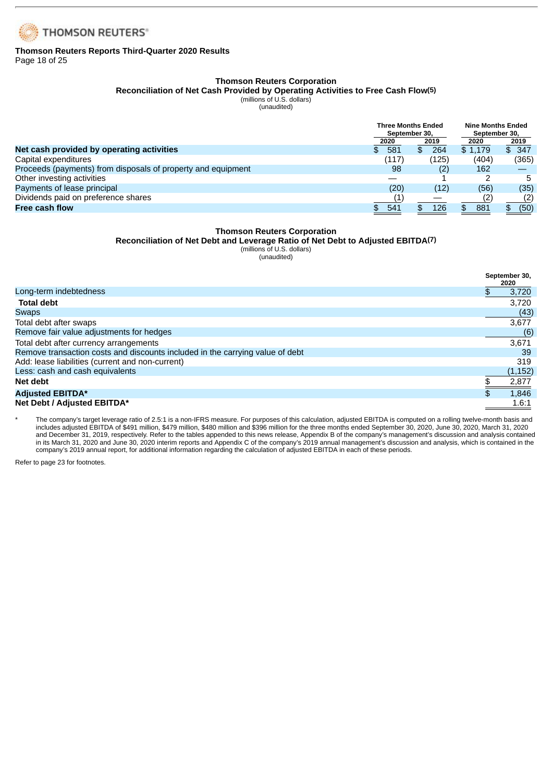

### **Thomson Reuters Reports Third-Quarter 2020 Results** Page 18 of 25

### **Thomson Reuters Corporation**

**Reconciliation of Net Cash Provided by Operating Activities to Free Cash Flow(5)**

(millions of U.S. dollars)

(unaudited)

|                                                              |            | <b>Three Months Ended</b><br>September 30. | <b>Nine Months Ended</b><br>September 30. |       |  |
|--------------------------------------------------------------|------------|--------------------------------------------|-------------------------------------------|-------|--|
|                                                              | 2020       | 2019                                       | 2020                                      | 2019  |  |
| Net cash provided by operating activities                    | 581<br>\$. | 264<br>\$.                                 | \$1.179                                   | \$347 |  |
| Capital expenditures                                         | (117)      | (125)                                      | (404)                                     | (365) |  |
| Proceeds (payments) from disposals of property and equipment | 98         | (2)                                        | 162                                       |       |  |
| Other investing activities                                   |            |                                            |                                           | 5     |  |
| Payments of lease principal                                  | (20)       | (12)                                       | (56)                                      | (35)  |  |
| Dividends paid on preference shares                          |            |                                            | (2)                                       | (2)   |  |
| <b>Free cash flow</b>                                        | 541        | 126                                        | 881                                       | (50)  |  |

### **Thomson Reuters Corporation**

### **Reconciliation of Net Debt and Leverage Ratio of Net Debt to Adjusted EBITDA(7)**

(millions of U.S. dollars) (unaudited)

**September 30, 2020** Long-term indebtedness  $\overline{\phantom{2}}$  3.720 **Total debt** 3,720 Swaps (43) Total debt after swaps 3,677 Remove fair value adjustments for hedges (6) and the control of the control of the control of the control of the control of the control of the control of the control of the control of the control of the control of the cont Total debt after currency arrangements 3,671 Remove transaction costs and discounts included in the carrying value of debt 39<br>Add: lease liabilities (current and non-current) 319 Add: lease liabilities (current and non-current) 319<br>Less: cash and cash equivalents (1,152) Less: cash and cash equivalents **Net debt** \$ 2,877 **Adjusted EBITDA\***  $\frac{1}{3}$  1,846 **Net Debt / Adjusted EBITDA\*** 1.6:1

The company's target leverage ratio of 2.5:1 is a non-IFRS measure. For purposes of this calculation, adjusted EBITDA is computed on a rolling twelve-month basis and includes adjusted EBITDA of \$491 million, \$479 million, \$480 million and \$396 million for the three months ended September 30, 2020, June 30, 2020, March 31, 2020 and December 31, 2019, respectively. Refer to the tables appended to this news release, Appendix B of the company's management's discussion and analysis contained in its March 31, 2020 and June 30, 2020 interim reports and Appendix C of the company's 2019 annual management's discussion and analysis, which is contained in the company's 2019 annual report, for additional information regarding the calculation of adjusted EBITDA in each of these periods.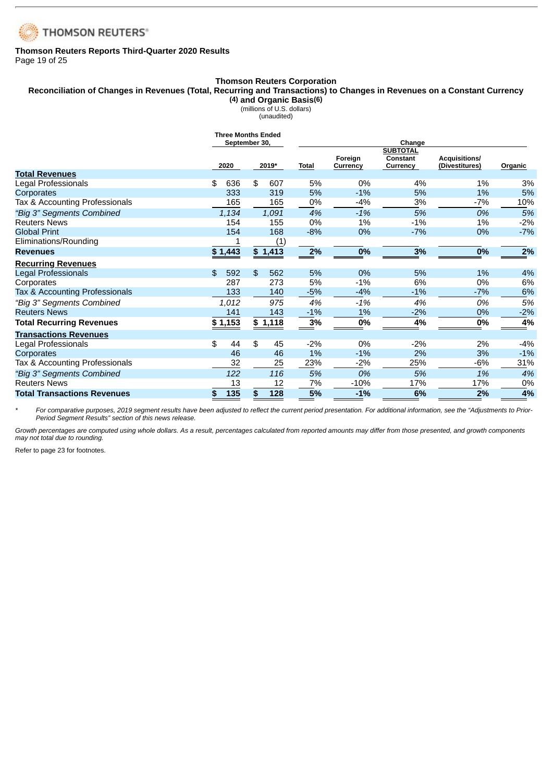

### **Thomson Reuters Reports Third-Quarter 2020 Results** Page 19 of 25

### **Thomson Reuters Corporation**

### Reconciliation of Changes in Revenues (Total, Recurring and Transactions) to Changes in Revenues on a Constant Currency **(4) and Organic Basis(6)**

(millions of U.S. dollars)

(unaudited)

|                                    | <b>Three Months Ended</b> | September 30. |         |              |                     |                                         |                                        |         |
|------------------------------------|---------------------------|---------------|---------|--------------|---------------------|-----------------------------------------|----------------------------------------|---------|
|                                    | 2020                      |               | 2019*   | <b>Total</b> | Foreign<br>Currency | <b>SUBTOTAL</b><br>Constant<br>Currency | <b>Acquisitions/</b><br>(Divestitures) | Organic |
| <b>Total Revenues</b>              |                           |               |         |              |                     |                                         |                                        |         |
| Legal Professionals                | 636<br>\$                 | \$            | 607     | 5%           | 0%                  | 4%                                      | 1%                                     | 3%      |
| Corporates                         | 333                       |               | 319     | 5%           | $-1%$               | 5%                                      | 1%                                     | 5%      |
| Tax & Accounting Professionals     | 165                       |               | 165     | 0%           | $-4%$               | 3%                                      | $-7%$                                  | 10%     |
| "Big 3" Segments Combined          | 1,134                     |               | 1,091   | 4%           | $-1%$               | 5%                                      | 0%                                     | 5%      |
| <b>Reuters News</b>                | 154                       |               | 155     | 0%           | 1%                  | $-1%$                                   | 1%                                     | $-2%$   |
| <b>Global Print</b>                | 154                       |               | 168     | $-8%$        | 0%                  | $-7%$                                   | 0%                                     | $-7%$   |
| Eliminations/Rounding              |                           |               | (1)     |              |                     |                                         |                                        |         |
| <b>Revenues</b>                    | \$1,443                   |               | \$1,413 | 2%           | 0%                  | 3%                                      | 0%                                     | 2%      |
| <b>Recurring Revenues</b>          |                           |               |         |              |                     |                                         |                                        |         |
| Legal Professionals                | \$<br>592                 | \$            | 562     | 5%           | 0%                  | 5%                                      | 1%                                     | 4%      |
| Corporates                         | 287                       |               | 273     | 5%           | $-1%$               | 6%                                      | 0%                                     | 6%      |
| Tax & Accounting Professionals     | 133                       |               | 140     | $-5%$        | $-4%$               | $-1%$                                   | $-7%$                                  | 6%      |
| "Big 3" Segments Combined          | 1,012                     |               | 975     | 4%           | $-1%$               | 4%                                      | 0%                                     | 5%      |
| <b>Reuters News</b>                | 141                       |               | 143     | $-1%$        | 1%                  | $-2%$                                   | 0%                                     | $-2%$   |
| <b>Total Recurring Revenues</b>    | \$1,153                   |               | \$1,118 | 3%           | 0%                  | 4%                                      | 0%                                     | 4%      |
| <b>Transactions Revenues</b>       |                           |               |         |              |                     |                                         |                                        |         |
| Legal Professionals                | \$<br>44                  | \$            | 45      | $-2%$        | 0%                  | $-2%$                                   | 2%                                     | $-4%$   |
| Corporates                         | 46                        |               | 46      | 1%           | $-1\%$              | 2%                                      | 3%                                     | $-1%$   |
| Tax & Accounting Professionals     | 32                        |               | 25      | 23%          | $-2\%$              | 25%                                     | $-6%$                                  | 31%     |
| "Big 3" Segments Combined          | 122                       |               | 116     | 5%           | 0%                  | 5%                                      | 1%                                     | 4%      |
| <b>Reuters News</b>                | 13                        |               | 12      | 7%           | $-10%$              | 17%                                     | 17%                                    | 0%      |
| <b>Total Transactions Revenues</b> | 135<br>\$                 | \$            | 128     | 5%           | $-1%$               | 6%                                      | 2%                                     | 4%      |

\* For comparative purposes, 2019 segment results have been adjusted to reflect the current period presentation. For additional information, see the "Adjustments to Prior-*Period Segment Results" section of this news release.*

Growth percentages are computed using whole dollars. As a result, percentages calculated from reported amounts may differ from those presented, and growth components *may not total due to rounding.*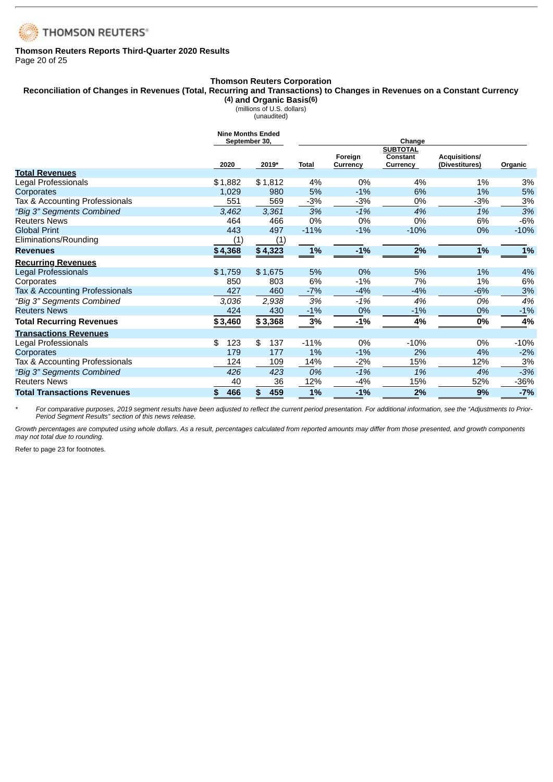

### **Thomson Reuters Reports Third-Quarter 2020 Results** Page 20 of 25

### **Thomson Reuters Corporation** Reconciliation of Changes in Revenues (Total, Recurring and Transactions) to Changes in Revenues on a Constant Currency **(4) and Organic Basis(6)**

(millions of U.S. dollars) (unaudited)

|                                    | <b>Nine Months Ended</b> | September 30, |              |                     |                                                |                                        |         |
|------------------------------------|--------------------------|---------------|--------------|---------------------|------------------------------------------------|----------------------------------------|---------|
|                                    | 2020                     | 2019*         | <b>Total</b> | Foreign<br>Currency | <b>SUBTOTAL</b><br><b>Constant</b><br>Currency | <b>Acquisitions/</b><br>(Divestitures) | Organic |
| <b>Total Revenues</b>              |                          |               |              |                     |                                                |                                        |         |
| Legal Professionals                | \$1,882                  | \$1,812       | 4%           | 0%                  | 4%                                             | $1\%$                                  | 3%      |
| Corporates                         | 1,029                    | 980           | 5%           | $-1%$               | 6%                                             | 1%                                     | 5%      |
| Tax & Accounting Professionals     | 551                      | 569           | $-3%$        | $-3%$               | 0%                                             | $-3%$                                  | 3%      |
| "Big 3" Segments Combined          | 3,462                    | 3,361         | 3%           | $-1%$               | 4%                                             | 1%                                     | 3%      |
| <b>Reuters News</b>                | 464                      | 466           | 0%           | 0%                  | 0%                                             | 6%                                     | $-6%$   |
| <b>Global Print</b>                | 443                      | 497           | $-11%$       | $-1%$               | $-10%$                                         | 0%                                     | $-10%$  |
| Eliminations/Rounding              | (1)                      | (1)           |              |                     |                                                |                                        |         |
| <b>Revenues</b>                    | \$4,368                  | \$4,323       | $1\%$        | $-1%$               | 2%                                             | 1%                                     | 1%      |
| <b>Recurring Revenues</b>          |                          |               |              |                     |                                                |                                        |         |
| Legal Professionals                | \$1,759                  | \$1.675       | 5%           | 0%                  | 5%                                             | 1%                                     | 4%      |
| Corporates                         | 850                      | 803           | 6%           | $-1%$               | 7%                                             | $1\%$                                  | 6%      |
| Tax & Accounting Professionals     | 427                      | 460           | $-7%$        | $-4%$               | $-4%$                                          | $-6%$                                  | 3%      |
| "Big 3" Segments Combined          | 3,036                    | 2,938         | 3%           | $-1%$               | 4%                                             | 0%                                     | 4%      |
| <b>Reuters News</b>                | 424                      | 430           | $-1%$        | 0%                  | $-1%$                                          | 0%                                     | $-1%$   |
| <b>Total Recurring Revenues</b>    | \$3,460                  | \$3,368       | 3%           | $-1%$               | 4%                                             | 0%                                     | 4%      |
| <b>Transactions Revenues</b>       |                          |               |              |                     |                                                |                                        |         |
| Legal Professionals                | 123<br>\$                | \$<br>137     | $-11%$       | 0%                  | $-10%$                                         | 0%                                     | $-10%$  |
| Corporates                         | 179                      | 177           | 1%           | $-1%$               | 2%                                             | 4%                                     | $-2%$   |
| Tax & Accounting Professionals     | 124                      | 109           | 14%          | $-2%$               | 15%                                            | 12%                                    | 3%      |
| "Big 3" Segments Combined          | 426                      | 423           | 0%           | $-1%$               | 1%                                             | 4%                                     | $-3%$   |
| <b>Reuters News</b>                | 40                       | 36            | 12%          | $-4%$               | 15%                                            | 52%                                    | -36%    |
| <b>Total Transactions Revenues</b> | 466<br>\$                | 459<br>\$     | 1%           | $-1%$               | 2%                                             | 9%                                     | $-7%$   |

\* For comparative purposes, 2019 segment results have been adjusted to reflect the current period presentation. For additional information, see the "Adjustments to Prior-*Period Segment Results" section of this news release.*

Growth percentages are computed using whole dollars. As a result, percentages calculated from reported amounts may differ from those presented, and growth components *may not total due to rounding.*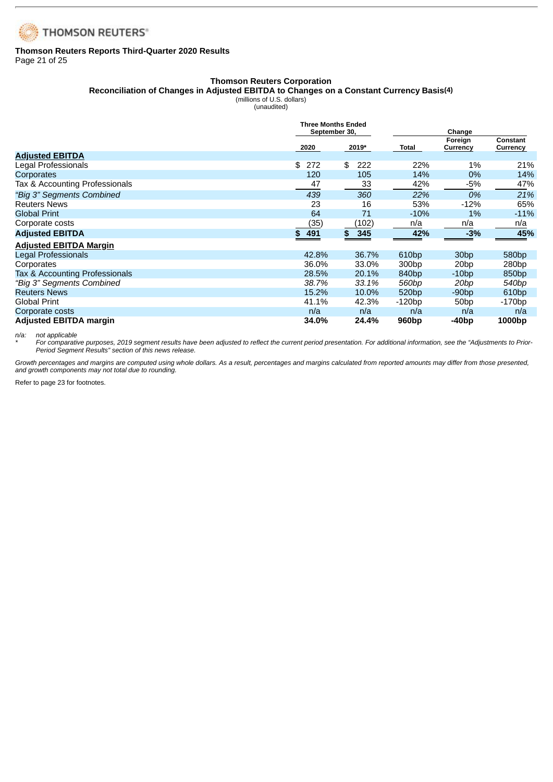

### **Thomson Reuters Reports Third-Quarter 2020 Results** Page 21 of 25

### **Thomson Reuters Corporation**

**Reconciliation of Changes in Adjusted EBITDA to Changes on a Constant Currency Basis(4)**

(millions of U.S. dollars)

| (unaudited) |
|-------------|
|-------------|

|                                | <b>Three Months Ended</b><br>September 30, |           | Change            |                     |                      |  |  |
|--------------------------------|--------------------------------------------|-----------|-------------------|---------------------|----------------------|--|--|
|                                | 2020                                       | 2019*     | Total             | Foreign<br>Currency | Constant<br>Currency |  |  |
| <b>Adjusted EBITDA</b>         |                                            |           |                   |                     |                      |  |  |
| Legal Professionals            | 272<br>\$                                  | \$<br>222 | 22%               | 1%                  | 21%                  |  |  |
| Corporates                     | 120                                        | 105       | 14%               | 0%                  | 14%                  |  |  |
| Tax & Accounting Professionals | 47                                         | 33        | 42%               | -5%                 | 47%                  |  |  |
| "Big 3" Segments Combined      | 439                                        | 360       | 22%               | 0%                  | 21%                  |  |  |
| <b>Reuters News</b>            | 23                                         | 16        | 53%               | $-12%$              | 65%                  |  |  |
| <b>Global Print</b>            | 64                                         | 71        | $-10%$            | 1%                  | $-11%$               |  |  |
| Corporate costs                | (35)                                       | (102)     | n/a               | n/a                 | n/a                  |  |  |
| <b>Adjusted EBITDA</b>         | \$491                                      | \$<br>345 | 42%               | $-3%$               | 45%                  |  |  |
| <b>Adjusted EBITDA Margin</b>  |                                            |           |                   |                     |                      |  |  |
| Legal Professionals            | 42.8%                                      | 36.7%     | 610 <sub>bp</sub> | 30 <sub>bp</sub>    | 580 <sub>bp</sub>    |  |  |
| Corporates                     | 36.0%                                      | 33.0%     | 300bp             | 20 <sub>bp</sub>    | 280bp                |  |  |
| Tax & Accounting Professionals | 28.5%                                      | 20.1%     | 840 <sub>bp</sub> | $-10bp$             | 850 <sub>bp</sub>    |  |  |
| "Big 3" Segments Combined      | 38.7%                                      | 33.1%     | 560bp             | 20 <sub>bp</sub>    | 540bp                |  |  |
| <b>Reuters News</b>            | 15.2%                                      | 10.0%     | 520 <sub>bp</sub> | $-90bp$             | 610 <sub>bp</sub>    |  |  |
| <b>Global Print</b>            | 41.1%                                      | 42.3%     | $-120bp$          | 50bp                | $-170bp$             |  |  |
| Corporate costs                | n/a                                        | n/a       | n/a               | n/a                 | n/a                  |  |  |
| <b>Adjusted EBITDA margin</b>  | 34.0%                                      | 24.4%     | 960 <sub>bp</sub> | -40bp               | 1000bp               |  |  |

*n/a: not applicable*

\* For comparative purposes, 2019 segment results have been adjusted to reflect the current period presentation. For additional information, see the "Adjustments to Prior-*Period Segment Results" section of this news release.*

Growth percentages and margins are computed using whole dollars. As a result, percentages and margins calculated from reported amounts may differ from those presented, *and growth components may not total due to rounding.*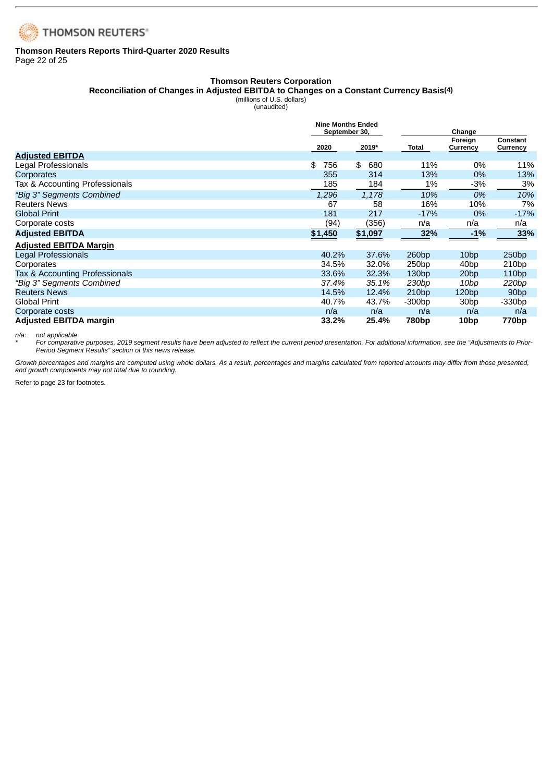

### **Thomson Reuters Reports Third-Quarter 2020 Results** Page 22 of 25

### **Thomson Reuters Corporation**

**Reconciliation of Changes in Adjusted EBITDA to Changes on a Constant Currency Basis(4)**

(millions of U.S. dollars)

|                                | <b>Nine Months Ended</b> |           |                   |                     |                      |
|--------------------------------|--------------------------|-----------|-------------------|---------------------|----------------------|
|                                | September 30,            |           |                   | Change              |                      |
|                                | 2020                     | 2019*     | Total             | Foreign<br>Currency | Constant<br>Currency |
| <b>Adjusted EBITDA</b>         |                          |           |                   |                     |                      |
| Legal Professionals            | \$<br>756                | \$<br>680 | 11%               | 0%                  | 11%                  |
| Corporates                     | 355                      | 314       | 13%               | $0\%$               | 13%                  |
| Tax & Accounting Professionals | 185                      | 184       | 1%                | $-3%$               | 3%                   |
| "Big 3" Segments Combined      | 1,296                    | 1,178     | 10%               | 0%                  | 10%                  |
| <b>Reuters News</b>            | 67                       | 58        | 16%               | 10%                 | 7%                   |
| <b>Global Print</b>            | 181                      | 217       | $-17%$            | 0%                  | $-17%$               |
| Corporate costs                | (94)                     | (356)     | n/a               | n/a                 | n/a                  |
| <b>Adjusted EBITDA</b>         | \$1,450                  | \$1,097   | 32%               | $-1\%$              | 33%                  |
| <b>Adjusted EBITDA Margin</b>  |                          |           |                   |                     |                      |
| Legal Professionals            | 40.2%                    | 37.6%     | 260bp             | 10 <sub>bp</sub>    | 250bp                |
| Corporates                     | 34.5%                    | 32.0%     | 250bp             | 40bp                | 210bp                |
| Tax & Accounting Professionals | 33.6%                    | 32.3%     | 130bp             | 20 <sub>bp</sub>    | 110bp                |
| "Big 3" Segments Combined      | 37.4%                    | 35.1%     | 230 <sub>bp</sub> | 10bp                | 220bp                |
| <b>Reuters News</b>            | 14.5%                    | 12.4%     | 210bp             | 120bp               | 90 <sub>bp</sub>     |
| <b>Global Print</b>            | 40.7%                    | 43.7%     | -300bp            | 30bp                | $-330bp$             |
| Corporate costs                | n/a                      | n/a       | n/a               | n/a                 | n/a                  |
| <b>Adjusted EBITDA margin</b>  | 33.2%                    | 25.4%     | 780bp             | 10 <sub>bp</sub>    | 770bp                |

*n/a: not applicable*

\* For comparative purposes, 2019 segment results have been adjusted to reflect the current period presentation. For additional information, see the "Adjustments to Prior-*Period Segment Results" section of this news release.*

Growth percentages and margins are computed using whole dollars. As a result, percentages and margins calculated from reported amounts may differ from those presented, *and growth components may not total due to rounding.*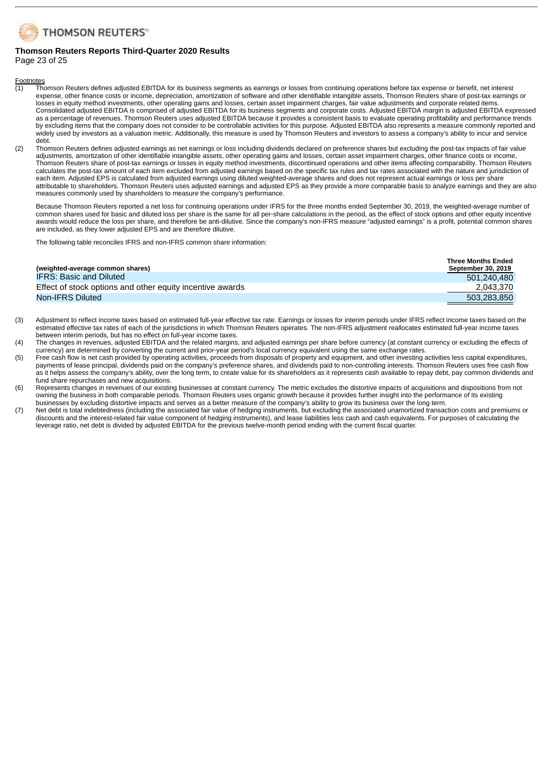

#### **Thomson Reuters Reports Third-Quarter 2020 Results** Page 23 of 25

- $\frac{footnotes}{(1)}$  Tho (1) Thomson Reuters defines adjusted EBITDA for its business segments as earnings or losses from continuing operations before tax expense or benefit, net interest expense, other finance costs or income, depreciation, amortization of software and other identifiable intangible assets, Thomson Reuters share of post-tax earnings or losses in equity method investments, other operating gains and losses, certain asset impairment charges, fair value adjustments and corporate related items. Consolidated adjusted EBITDA is comprised of adjusted EBITDA for its business segments and corporate costs. Adjusted EBITDA margin is adjusted EBITDA expressed as a percentage of revenues. Thomson Reuters uses adjusted EBITDA because it provides a consistent basis to evaluate operating profitability and performance trends by excluding items that the company does not consider to be controllable activities for this purpose. Adjusted EBITDA also represents a measure commonly reported and widely used by investors as a valuation metric. Additionally, this measure is used by Thomson Reuters and investors to assess a company's ability to incur and service debt.
- (2) Thomson Reuters defines adjusted earnings as net earnings or loss including dividends declared on preference shares but excluding the post-tax impacts of fair value adjustments, amortization of other identifiable intangible assets, other operating gains and losses, certain asset impairment charges, other finance costs or income, Thomson Reuters share of post-tax earnings or losses in equity method investments, discontinued operations and other items affecting comparability. Thomson Reuters calculates the post-tax amount of each item excluded from adjusted earnings based on the specific tax rules and tax rates associated with the nature and jurisdiction of each item. Adjusted EPS is calculated from adjusted earnings using diluted weighted-average shares and does not represent actual earnings or loss per share attributable to shareholders. Thomson Reuters uses adjusted earnings and adjusted EPS as they provide a more comparable basis to analyze earnings and they are also measures commonly used by shareholders to measure the company's performance.

Because Thomson Reuters reported a net loss for continuing operations under IFRS for the three months ended September 30, 2019, the weighted-average number of common shares used for basic and diluted loss per share is the same for all per-share calculations in the period, as the effect of stock options and other equity incentive awards would reduce the loss per share, and therefore be anti-dilutive. Since the company's non-IFRS measure "adjusted earnings" is a profit, potential common shares are included, as they lower adjusted EPS and are therefore dilutive.

The following table reconciles IFRS and non-IFRS common share information:

|                                                           | <b>Three Months Ended</b> |
|-----------------------------------------------------------|---------------------------|
| (weighted-average common shares)                          | <b>September 30, 2019</b> |
| <b>IFRS: Basic and Diluted</b>                            | 501.240.480               |
| Effect of stock options and other equity incentive awards | 2.043.370                 |
| Non-IFRS Diluted                                          | 503.283.850               |

- (3) Adjustment to reflect income taxes based on estimated full-year effective tax rate. Earnings or losses for interim periods under IFRS reflect income taxes based on the estimated effective tax rates of each of the jurisdictions in which Thomson Reuters operates. The non-IFRS adjustment reallocates estimated full-year income taxes between interim periods, but has no effect on full-year income taxes.
- (4) The changes in revenues, adjusted EBITDA and the related margins, and adjusted earnings per share before currency (at constant currency or excluding the effects of currency) are determined by converting the current and prior-year period's local currency equivalent using the same exchange rates.
- (5) Free cash flow is net cash provided by operating activities, proceeds from disposals of property and equipment, and other investing activities less capital expenditures, payments of lease principal, dividends paid on the company's preference shares, and dividends paid to non-controlling interests. Thomson Reuters uses free cash flow as it helps assess the company's ability, over the long term, to create value for its shareholders as it represents cash available to repay debt, pay common dividends and fund share repurchases and new acquisitions.
- (6) Represents changes in revenues of our existing businesses at constant currency. The metric excludes the distortive impacts of acquisitions and dispositions from not owning the business in both comparable periods. Thomson Reuters uses organic growth because it provides further insight into the performance of its existing businesses by excluding distortive impacts and serves as a better measure of the company's ability to grow its business over the long term.
- (7) Net debt is total indebtedness (including the associated fair value of hedging instruments, but excluding the associated unamortized transaction costs and premiums or discounts and the interest-related fair value component of hedging instruments), and lease liabilities less cash and cash equivalents. For purposes of calculating the leverage ratio, net debt is divided by adjusted EBITDA for the previous twelve-month period ending with the current fiscal quarter.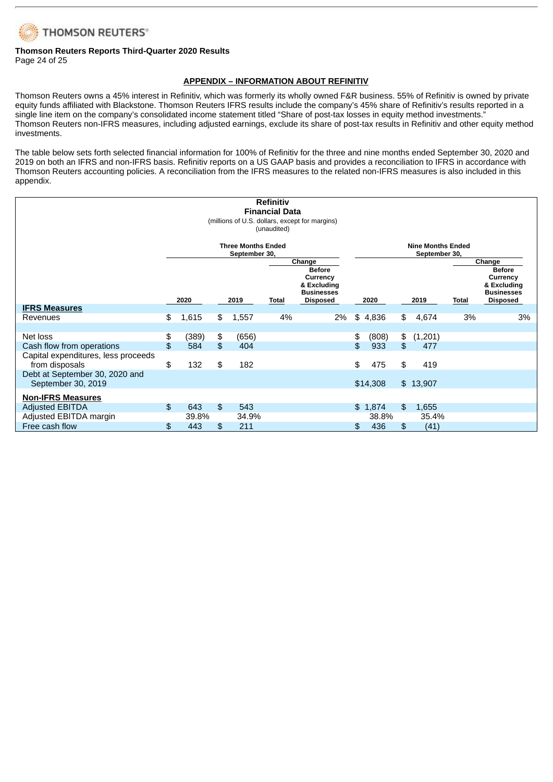

### **Thomson Reuters Reports Third-Quarter 2020 Results** Page 24 of 25

### **APPENDIX – INFORMATION ABOUT REFINITIV**

Thomson Reuters owns a 45% interest in Refinitiv, which was formerly its wholly owned F&R business. 55% of Refinitiv is owned by private equity funds affiliated with Blackstone. Thomson Reuters IFRS results include the company's 45% share of Refinitiv's results reported in a single line item on the company's consolidated income statement titled "Share of post-tax losses in equity method investments." Thomson Reuters non-IFRS measures, including adjusted earnings, exclude its share of post-tax results in Refinitiv and other equity method investments.

The table below sets forth selected financial information for 100% of Refinitiv for the three and nine months ended September 30, 2020 and 2019 on both an IFRS and non-IFRS basis. Refinitiv reports on a US GAAP basis and provides a reconciliation to IFRS in accordance with Thomson Reuters accounting policies. A reconciliation from the IFRS measures to the related non-IFRS measures is also included in this appendix.

| <b>Refinitiv</b>                               |          |                         |          |               |              |                                  |                          |              |          |                |              |                                  |
|------------------------------------------------|----------|-------------------------|----------|---------------|--------------|----------------------------------|--------------------------|--------------|----------|----------------|--------------|----------------------------------|
| <b>Financial Data</b>                          |          |                         |          |               |              |                                  |                          |              |          |                |              |                                  |
| (millions of U.S. dollars, except for margins) |          |                         |          |               |              |                                  |                          |              |          |                |              |                                  |
| (unaudited)                                    |          |                         |          |               |              |                                  |                          |              |          |                |              |                                  |
| <b>Three Months Ended</b>                      |          |                         |          |               |              |                                  | <b>Nine Months Ended</b> |              |          |                |              |                                  |
|                                                |          |                         |          | September 30, |              |                                  | September 30,<br>Change  |              |          |                |              |                                  |
|                                                |          | Change<br><b>Before</b> |          |               |              |                                  |                          |              |          | <b>Before</b>  |              |                                  |
|                                                |          |                         |          |               |              | Currency                         |                          |              |          |                |              | Currency                         |
|                                                |          |                         |          |               |              | & Excluding<br><b>Businesses</b> |                          |              |          |                |              | & Excluding<br><b>Businesses</b> |
|                                                |          | 2020                    |          | 2019          | <b>Total</b> | <b>Disposed</b>                  |                          | 2020         |          | 2019           | <b>Total</b> | <b>Disposed</b>                  |
| <b>IFRS Measures</b>                           |          |                         |          |               |              |                                  |                          |              |          |                |              |                                  |
| Revenues                                       | \$       | 1,615                   | \$       | 1,557         | 4%           | 2%                               | \$                       | 4,836        | \$       | 4,674          | 3%           | 3%                               |
| Net loss                                       |          |                         |          |               |              |                                  |                          |              |          |                |              |                                  |
| Cash flow from operations                      | \$<br>\$ | (389)<br>584            | \$<br>\$ | (656)<br>404  |              |                                  | \$<br>\$                 | (808)<br>933 | \$<br>\$ | (1,201)<br>477 |              |                                  |
| Capital expenditures, less proceeds            |          |                         |          |               |              |                                  |                          |              |          |                |              |                                  |
| from disposals                                 | \$       | 132                     | \$       | 182           |              |                                  | \$                       | 475          | \$       | 419            |              |                                  |
| Debt at September 30, 2020 and                 |          |                         |          |               |              |                                  |                          |              |          |                |              |                                  |
| September 30, 2019                             |          |                         |          |               |              |                                  |                          | \$14,308     |          | \$13,907       |              |                                  |
| <b>Non-IFRS Measures</b>                       |          |                         |          |               |              |                                  |                          |              |          |                |              |                                  |
| <b>Adjusted EBITDA</b>                         | \$       | 643                     | \$       | 543           |              |                                  |                          | \$1,874      | \$       | 1,655          |              |                                  |
| Adjusted EBITDA margin                         |          | 39.8%                   |          | 34.9%         |              |                                  |                          | 38.8%        |          | 35.4%          |              |                                  |
| Free cash flow                                 | \$       | 443                     | \$       | 211           |              |                                  | \$                       | 436          | \$       | (41)           |              |                                  |